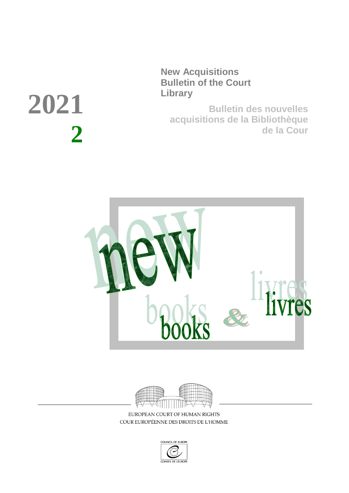**New Acquisitions Bulletin of the Court Library**

**Bulletin des nouvelles acquisitions de la Bibliothèque de la Cour**





EUROPEAN COURT OF HUMAN RIGHTS COUR EUROPÉENNE DES DROITS DE L'HOMME



# **2021 2**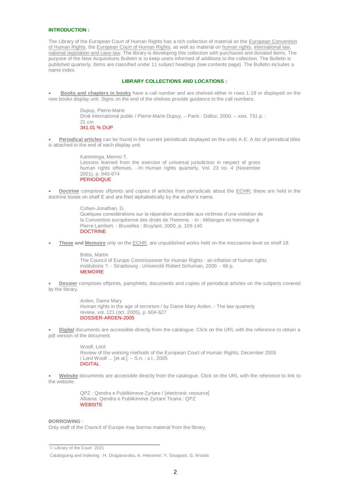#### **INTRODUCTION :**

The Library of the European Court of Human Rights has a rich collection of material on the European Convention of Human Rights, the European Court of Human Rights, as well as material on human rights, international law, national legislation and case-law. The library is developing this collection with purchased and donated items. The purpose of the New Acquisitions Bulletin is to keep users informed of additions to the collection. The Bulletin is published quarterly. Items are classified under 11 subject headings (see contents page). The Bulletin includes a name index.

#### **LIBRARY COLLECTIONS AND LOCATIONS :**

 **Books and chapters in books** have a call number and are shelved either in rows 1-18 or displayed on the new books display unit. Signs on the end of the shelves provide guidance to the call numbers.

> Dupuy, Pierre-Marie Droit international public / Pierre-Marie Dupuy. – Paris : Dalloz, 2000. – xxix, 731 p. ; 21 cm 341.01 % DUP

 **Periodical articles** can be found in the current periodicals displayed on the units A-E. A list of periodical titles is attached to the end of each display unit.

> Kamminga, Menno T. Lessons learned from the exercise of universal jurisdiction in respect of gross human rights offenses. - In: Human rights quarterly, Vol. 23 no. 4 (November 2001), p. 940-974 **PERIODIQUE**

 **Doctrine** comprises offprints and copies of articles from periodicals about the ECHR; these are held in the doctrine boxes on shelf E and are filed alphabetically by the author's name.

> Cohen-Jonathan, G. Quelques considérations sur la réparation accordée aux victimes d'une violation de la Convention européenne des droits de l'homme. - In : Mélanges en hommage à Pierre Lambert. - Bruxelles : Bruylant, 2000, p. 109-140 **DOCTRINE**

**These and Memoire** only on the ECHR, are unpublished works held on the mezzanine level on shelf 18.

Botta, Martin The Council of Europe Commissioner for Human Rights : an inflation of human rights institutions ?. - Strasbourg : Université Robert Schuman, 2000. - 66 p. **MEMOIRE** 

 **Dossier** comprises offprints, pamphlets, documents and copies of periodical articles on the subjects covered by the library.

> [Arden, Dame Mary](http://hrls.echr.coe.int/uhtbin/cgisirsi.exe/rDoodvsENU/270260014/18/X100/XAUTHOR/Arden,+Dame+Mary) [Human rights in the age of terrorism / by Dame Mary Arden.](http://hrls.echr.coe.int/uhtbin/cgisirsi.exe/rDoodvsENU/270260014/18/X245/XTITLE/Human+rights+in+the+age+of+terrorism+%5e2F) - The law quarterly review, vol. 121 (oct. 2005), p. 604-627 DOSSIER-ARDEN-2005

 **Digital** documents are accessible directly from the catalogue. Click on the URL with the reference to obtain a pdf version of the document.

> Woolf Lord [Review of the working methods of the European Court of Human Rights, December 2005](http://hrls.echr.coe.int/uhtbin/cgisirsi.exe/AqW5KSgx2P/156070005/18/X245/XTITLE/Review+of+the+working+methods+of+the+European+Court+of+Human+Rights,+December+2005+%5e2F)  [/ Lord Woolf ... \[et al.\].](http://hrls.echr.coe.int/uhtbin/cgisirsi.exe/AqW5KSgx2P/156070005/18/X245/XTITLE/Review+of+the+working+methods+of+the+European+Court+of+Human+Rights,+December+2005+%5e2F) – S.n. : s.l., 2005 DIGITAL

 **Website** documents are accessible directly from the catalogue. Click on the URL with the reference to link to the website.

> QPZ : Qendra e Publikimeve Zyrtare / [electronic resource] Albania. Qendra e Publikimeve Zyrtare Tirana : QPZ **WEBSITE**

#### **BORROWING** :

Only staff of the Council of Europe may borrow material from the library.

 Library of the Court 2021

Cataloguing and indexing : H. Draganovska, A. Heisserer, Y. Souppart, G. Woods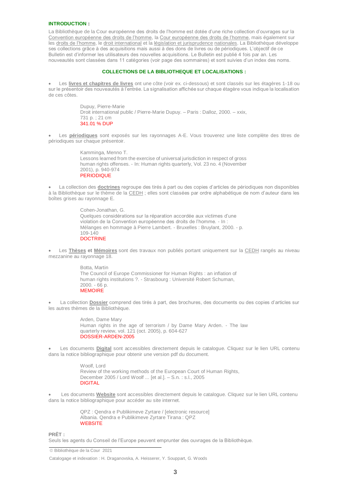#### **INTRODUCTION :**

La Bibliothèque de la Cour européenne des droits de l'homme est dotée d'une riche collection d'ouvrages sur la Convention européenne des droits de l'homme, la Cour européenne des droits de l'homme, mais également sur les droits de l'homme, le droit international et la législation et jurisprudence nationales. La Bibliothèque développe ses collections grâce à des acquisitions mais aussi à des dons de livres ou de périodiques. L'objectif de ce Bulletin est d'informer les utilisateurs des nouvelles acquisitions. Le Bulletin est publié 4 fois par an. Les nouveautés sont classées dans 11 catégories (voir page des sommaires) et sont suivies d'un index des noms.

#### **COLLECTIONS DE LA BIBLIOTHEQUE ET LOCALISATIONS :**

 Les **livres et chapitres de livres** ont une côte (voir ex. ci-dessous) et sont classés sur les étagères 1-18 ou sur le présentoir des nouveautés à l'entrée. La signalisation affichée sur chaque étagère vous indique la localisation de ces côtes.

> Dupuy, Pierre-Marie Droit international public / Pierre-Marie Dupuy. – Paris : Dalloz, 2000. – xxix, 731 p. ; 21 cm 341.01 % DUP

 Les **périodiques** sont exposés sur les rayonnages A-E. Vous trouverez une liste complète des titres de périodiques sur chaque présentoir.

> Kamminga, Menno T. Lessons learned from the exercise of universal jurisdiction in respect of gross human rights offenses. - In: Human rights quarterly, Vol. 23 no. 4 (November 2001), p. 940-974 **PERIODIQUE**

 La collection des **doctrines** regroupe des tirés à part ou des copies d'articles de périodiques non disponibles à la Bibliothèque sur le thème de la CEDH ; elles sont classées par ordre alphabétique de nom d'auteur dans les boîtes grises au rayonnage E.

> Cohen-Jonathan, G. Quelques considérations sur la réparation accordée aux victimes d'une violation de la Convention européenne des droits de l'homme. - In : Mélanges en hommage à Pierre Lambert. - Bruxelles : Bruylant, 2000. - p. 109-140 **DOCTRINE**

 Les **Thèses et Mémoires** sont des travaux non publiés portant uniquement sur la CEDH rangés au niveau mezzanine au rayonnage 18.

> Botta, Martin The Council of Europe Commissioner for Human Rights : an inflation of human rights institutions ?. - Strasbourg : Université Robert Schuman, 2000. - 66 p. **MEMOIRE**

 La collection **Dossier** comprend des tirés à part, des brochures, des documents ou des copies d'articles sur les autres thèmes de la Bibliothèque.

> [Arden, Dame Mary](http://hrls.echr.coe.int/uhtbin/cgisirsi.exe/rDoodvsENU/270260014/18/X100/XAUTHOR/Arden,+Dame+Mary) [Human rights in the age of terrorism / by Dame Mary Arden.](http://hrls.echr.coe.int/uhtbin/cgisirsi.exe/rDoodvsENU/270260014/18/X245/XTITLE/Human+rights+in+the+age+of+terrorism+%5e2F) - The law quarterly review, vol. 121 (oct. 2005), p. 604-627 DOSSIER-ARDEN-2005

 Les documents **Digital** sont accessibles directement depuis le catalogue. Cliquez sur le lien URL contenu dans la notice bibliographique pour obtenir une version pdf du document.

> Woolf Lord [Review of the working methods of the European Court of Human Rights,](http://hrls.echr.coe.int/uhtbin/cgisirsi.exe/AqW5KSgx2P/156070005/18/X245/XTITLE/Review+of+the+working+methods+of+the+European+Court+of+Human+Rights,+December+2005+%5e2F)  [December 2005 / Lord Woolf ... \[et al.\].](http://hrls.echr.coe.int/uhtbin/cgisirsi.exe/AqW5KSgx2P/156070005/18/X245/XTITLE/Review+of+the+working+methods+of+the+European+Court+of+Human+Rights,+December+2005+%5e2F) – S.n. : s.l., 2005 DIGITAL

 Les documents **Website** sont accessibles directement depuis le catalogue. Cliquez sur le lien URL contenu dans la notice bibliographique pour accéder au site internet.

> QPZ : Qendra e Publikimeve Zyrtare / [electronic resource] Albania. Qendra e Publikimeve Zyrtare Tirana : QPZ **WEBSITE**

**PRÊT :**

Seuls les agents du Conseil de l'Europe peuvent emprunter des ouvrages de la Bibliothèque.

Bibliothèque de la Cour 2021

Catalogage et indexation : H. Draganovska, A. Heisserer, Y. Souppart, G. Woods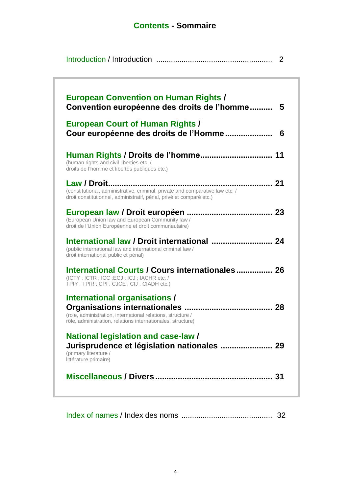## **Contents - Sommaire**

|                                                                                                                                                                    | 2   |
|--------------------------------------------------------------------------------------------------------------------------------------------------------------------|-----|
| <b>European Convention on Human Rights /</b><br>Convention européenne des droits de l'homme                                                                        | 5   |
| <b>European Court of Human Rights /</b><br>Cour européenne des droits de l'Homme                                                                                   | 6   |
| (human rights and civil liberties etc. /<br>droits de l'homme et libertés publiques etc.)                                                                          |     |
| (constitutional, administrative, criminal, private and comparative law etc. /<br>droit constitutionnel, administratif, pénal, privé et comparé etc.)               |     |
| (European Union law and European Community law /<br>droit de l'Union Européenne et droit communautaire)                                                            |     |
| (public international law and international criminal law /<br>droit international public et pénal)                                                                 |     |
| International Courts / Cours internationales 26<br>(ICTY; ICTR; ICC; ECJ; ICJ; IACHR etc. /<br>TPIY; TPIR; CPI; CJCE; CIJ; CIADH etc.)                             |     |
| <b>International organisations /</b><br>(role, administration, international relations, structure /<br>rôle, administration, relations internationales, structure) |     |
| <b>National legislation and case-law/</b><br>(primary literature /<br>littérature primaire)                                                                        |     |
|                                                                                                                                                                    | -31 |
|                                                                                                                                                                    |     |

Index of names / Index des noms ........................................... 32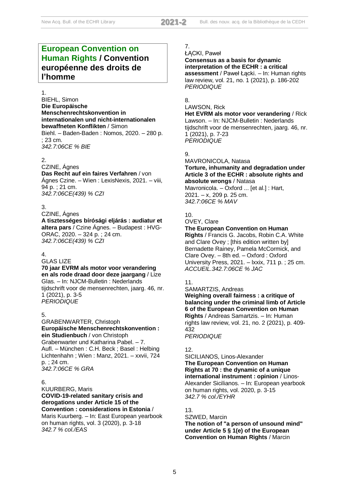## **European Convention on Human Rights / Convention européenne des droits de l'homme**

#### 1.

BIEHL, Simon **Die Europäische Menschenrechtskonvention in internationalen und nicht-internationalen bewaffneten Konflikten** / Simon Biehl. – Baden-Baden : Nomos, 2020. – 280 p. ; 23 cm. *342.7:06CE % BIE*

#### 2.

#### CZINE, Ágnes

**Das Recht auf ein faires Verfahren** / von Ágnes Czine. – Wien : LexisNexis, 2021. – viii, 94 p. ; 21 cm. *342.7:06CE(439) % CZI*

#### 3.

#### CZINE, Ágnes

**A tisztességes bírósági eljárás : audiatur et altera pars** / Czine Ágnes. – Budapest : HVG-ORAC, 2020. – 324 p. ; 24 cm. *342.7:06CE(439) % CZI*

#### 4.

#### GLAS LIZE

**70 jaar EVRM als motor voor verandering en als rode draad door deze jaargang** / Lize Glas. – In: NJCM-Bulletin : Nederlands tijdschrift voor de mensenrechten, jaarg. 46, nr. 1 (2021), p. 3-5 *PERIODIQUE*

#### 5.

#### GRABENWARTER, Christoph **Europäische Menschenrechtskonvention : ein Studienbuch** / von Christoph Grabenwarter und Katharina Pabel. – 7.

Aufl. – München : C.H. Beck ; Basel : Helbing Lichtenhahn ; Wien : Manz, 2021. – xxvii, 724 p. ; 24 cm. *342.7:06CE % GRA*

#### 6.

KUURBERG, Maris **COVID-19-related sanitary crisis and derogations under Article 15 of the Convention : considerations in Estonia** / Maris Kuurberg. – In: East European yearbook on human rights, vol. 3 (2020), p. 3-18 *342.7 % col./EAS*

#### 7. ŁĄCKI, Paweł

**Consensus as a basis for dynamic interpretation of the ECHR : a critical assessment** / Paweł Łącki. – In: Human rights law review, vol. 21, no. 1 (2021), p. 186-202 *PERIODIQUE*

#### 8.

#### LAWSON, Rick

**Het EVRM als motor voor verandering** / Rick Lawson. – In: NJCM-Bulletin : Nederlands tijdschrift voor de mensenrechten, jaarg. 46, nr. 1 (2021), p. 7-23 *PERIODIQUE*

## 9.

#### MAVRONICOLA, Natasa **Torture, inhumanity and degradation under Article 3 of the ECHR : absolute rights and absolute wrongs** / Natasa

Mavronicola. – Oxford ... [et al.] : Hart, 2021. – x, 209 p. 25 cm. *342.7:06CE % MAV*

#### 10.

#### OVEY, Clare

**The European Convention on Human** 

**Rights** / Francis G. Jacobs, Robin C.A. White and Clare Ovey ; [this edition written by] Bernadette Rainey, Pamela McCormick, and Clare Ovey. – 8th ed. – Oxford : Oxford University Press, 2021. – lxxix, 711 p. ; 25 cm. *ACCUEIL.342.7:06CE % JAC*

#### 11.

#### SAMARTZIS, Andreas **Weighing overall fairness : a critique of balancing under the criminal limb of Article 6 of the European Convention on Human Rights** / Andreas Samartzis. – In: Human rights law review, vol. 21, no. 2 (2021), p. 409- 432

*PERIODIQUE*

#### 12.

#### SICILIANOS, Linos-Alexander **The European Convention on Human Rights at 70 : the dynamic of a unique international instrument : opinion** / Linos-Alexander Sicilianos. – In: European yearbook on human rights, vol. 2020, p. 3-15 *342.7 % col./EYHR*

#### 13.

#### SZWED, Marcin **The notion of "a person of unsound mind" under Article 5 § 1(e) of the European Convention on Human Rights** / Marcin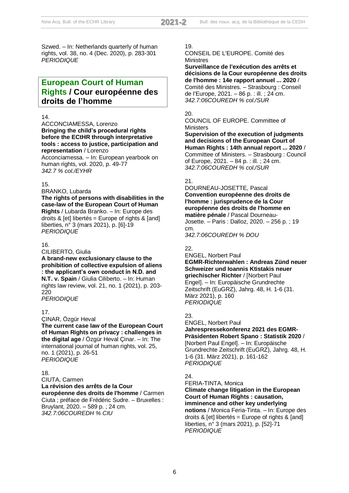Szwed. – In: Netherlands quarterly of human rights, vol. 38, no. 4 (Dec. 2020), p. 283-301 *PERIODIQUE*

## **European Court of Human Rights / Cour européenne des droits de l'homme**

#### 14.

ACCONCIAMESSA, Lorenzo **Bringing the child's procedural rights before the ECtHR through interpretative tools : access to justice, participation and representation** / Lorenzo

Acconciamessa. – In: European yearbook on human rights, vol. 2020, p. 49-77 *342.7 % col./EYHR*

#### 15.

BRANKO, Lubarda

**The rights of persons with disabilities in the case-law of the European Court of Human Rights** / Lubarda Branko. – In: Europe des droits &  $[et]$  libertés = Europe of rights &  $[and]$ liberties, n° 3 (mars 2021), p. [6]-19 *PERIODIQUE*

#### 16.

CILIBERTO, Giulia

**A brand-new exclusionary clause to the prohibition of collective expulsion of aliens : the applicant's own conduct in N.D. and N.T. v. Spain** / Giulia Ciliberto. – In: Human rights law review, vol. 21, no. 1 (2021), p. 203- 220 *PERIODIQUE*

#### 17.

ÇINAR, Özgür Heval **The current case law of the European Court of Human Rights on privacy : challenges in the digital age** / Özgür Heval Çinar. – In: The international journal of human rights, vol. 25, no. 1 (2021), p. 26-51 *PERIODIQUE*

#### 18.

CIUTA, Carmen **La révision des arrêts de la Cour européenne des droits de l'homme** / Carmen Ciuta ; préface de Frédéric Sudre. – Bruxelles : Bruylant, 2020. – 589 p. ; 24 cm. *342.7:06COUREDH % CIU*

#### 19.

CONSEIL DE L'EUROPE. Comité des **Ministres** 

**Surveillance de l'exécution des arrêts et décisions de la Cour européenne des droits de l'homme : 14e rapport annuel ... 2020** / Comité des Ministres. – Strasbourg : Conseil de l'Europe, 2021. – 86 p. : ill. ; 24 cm. *342.7:06COUREDH % col./SUR*

#### 20.

COUNCIL OF EUROPE. Committee of **Ministers** 

**Supervision of the execution of judgments and decisions of the European Court of Human Rights : 14th annual report ... 2020** / Committee of Ministers. – Strasbourg : Council of Europe, 2021. – 84 p. : ill. ; 24 cm. *342.7:06COUREDH % col./SUR*

#### 21.

DOURNEAU-JOSETTE, Pascal **Convention européenne des droits de l'homme : jurisprudence de la Cour européenne des droits de l'homme en matière pénale** / Pascal Dourneau-Josette. – Paris : Dalloz, 2020. – 256 p. ; 19 cm.

*342.7:06COUREDH % DOU*

## 22.

ENGEL, Norbert Paul **EGMR-Richterwahlen : Andreas Zünd neuer Schweizer und Ioannis Ktistakis neuer griechischer Richter** / [Norbert Paul Engel]. – In: Europäische Grundrechte Zeitschrift (EuGRZ), Jahrg. 48, H. 1-6 (31. März 2021), p. 160

#### 23.

*PERIODIQUE*

ENGEL, Norbert Paul **Jahrespressekonferenz 2021 des EGMR-Präsidenten Robert Spano : Statistik 2020** / [Norbert Paul Engel]. – In: Europäische Grundrechte Zeitschrift (EuGRZ), Jahrg. 48, H. 1-6 (31. März 2021), p. 161-162 *PERIODIQUE*

#### $24.$

FERIA-TINTA, Monica **Climate change litigation in the European Court of Human Rights : causation, imminence and other key underlying notions** / Monica Feria-Tinta. – In: Europe des droits &  $[et]$  libertés = Europe of rights &  $[and]$ liberties, n° 3 (mars 2021), p. [52]-71 *PERIODIQUE*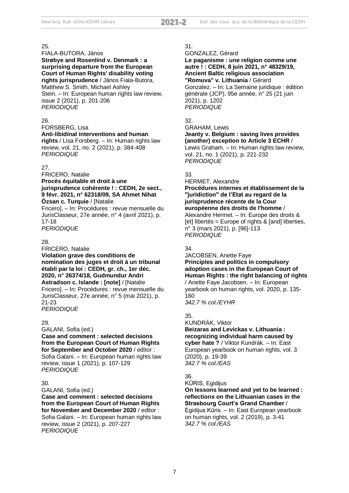#### FIALA-BUTORA, János

**Strøbye and Rosenlind v. Denmark : a surprising departure from the European Court of Human Rights' disability voting rights jurisprudence** / János Fiala-Butora, Matthew S. Smith, Michael Ashley Stein. – In: European human rights law review, issue 2 (2021), p. 201-206 *PERIODIQUE*

#### 26.

FORSBERG, Lisa

#### **Anti-libidinal interventions and human**

**rights** / Lisa Forsberg. – In: Human rights law review, vol. 21, no. 2 (2021), p. 384-408 *PERIODIQUE*

#### 27.

FRICERO, Natalie

#### **Procès équitable et droit à une jurisprudence cohérente ! : CEDH, 2e sect., 9 févr. 2021, n° 62318/09, SA Ahmet Nihat Özsan c. Turquie** / [Natalie

Fricero]. – In: Procédures : revue mensuelle du JurisClasseur, 27e année, n° 4 (avril 2021), p. 17-18

*PERIODIQUE*

#### 28.

FRICERO, Natalie

#### **Violation grave des conditions de**

**nomination des juges et droit à un tribunal établi par la loi : CEDH, gr. ch., 1er déc. 2020, n° 26374/18, Gudmundur Andri** 

#### **Astradson c. Islande : [note]** / [Natalie Fricero]. – In: Procédures : revue mensuelle du

JurisClasseur, 27e année, n° 5 (mai 2021), p. 21-23

*PERIODIQUE*

#### 29.

GALANI, Sofia (ed.)

#### **Case and comment : selected decisions from the European Court of Human Rights**

**for September and October 2020** / editor : Sofia Galani. – In: European human rights law review, issue 1 (2021), p. 107-129 *PERIODIQUE*

#### 30.

GALANI, Sofia (ed.)

**Case and comment : selected decisions from the European Court of Human Rights for November and December 2020** / editor : Sofia Galani. – In: European human rights law review, issue 2 (2021), p. 207-227 *PERIODIQUE*

#### 31.

GONZALEZ, Gérard

#### **Le paganisme : une religion comme une autre ! : CEDH, 8 juin 2021, n° 48329/19, Ancient Baltic religious association "Romuva" v. Lithuania** / Gérard

Gonzalez. – In: La Semaine juridique : édition générale (JCP), 95e année, n° 25 (21 juin 2021), p. 1202 *PERIODIQUE*

#### 32.

#### GRAHAM, Lewis **Jeanty v. Belgium : saving lives provides (another) exception to Article 3 ECHR** /

Lewis Graham. – In: Human rights law review, vol. 21, no. 1 (2021), p. 221-232 *PERIODIQUE*

#### 33.

HERMET, Alexandre

#### **Procédures internes et établissement de la "juridiction" de l'Etat au regard de la jurisprudence récente de la Cour européenne des droits de l'homme** /

Alexandre Hermet. – In: Europe des droits & [et] libertés = Europe of rights & [and] liberties, n° 3 (mars 2021), p. [96]-113 *PERIODIQUE*

#### 34.

#### JACOBSEN, Anette Faye **Principles and politics in compulsory adoption cases in the European Court of Human Rights : the right balancing of rights** / Anette Faye Jacobsen. – In: European yearbook on human rights, vol. 2020, p. 135-

160

*342.7 % col./EYHR*

#### 35.

KUNDRÁK, Viktor **Beizaras and Levickas v. Lithuania : recognizing individual harm caused by cyber hate ?** / Viktor Kundrák. – In: East European yearbook on human rights, vol. 3 (2020), p. 19-39 *342.7 % col./EAS*

#### 36.

KŪRIS, Egidijus

#### **On lessons learned and yet to be learned : reflections on the Lithuanian cases in the Strasbourg Court's Grand Chamber** / Egidijus Kūris. – In: East European yearbook on human rights, vol. 2 (2019), p. 3-41

*342.7 % col./EAS*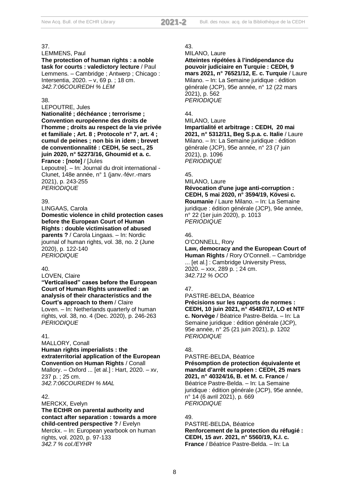#### LEMMENS, Paul

**The protection of human rights : a noble task for courts : valedictory lecture** / Paul Lemmens. – Cambridge ; Antwerp ; Chicago : Intersentia, 2020. – v, 69 p. ; 18 cm. *342.7:06COUREDH % LEM*

#### 38.

#### LEPOUTRE, Jules

**Nationalité ; déchéance ; terrorisme ; Convention européenne des droits de l'homme ; droits au respect de la vie privée et familiale ; Art. 8 ; Protocole n° 7, art. 4 ; cumul de peines ; non bis in idem ; brevet de conventionnalité : CEDH, 5e sect., 25 juin 2020, n° 52273/16, Ghoumid et a. c. France : [note]** / [Jules

Lepoutre]. – In: Journal du droit international - Clunet, 148e année, n° 1 (janv.-févr.-mars 2021), p. 243-255 *PERIODIQUE*

#### 39.

LINGAAS, Carola

**Domestic violence in child protection cases before the European Court of Human Rights : double victimisation of abused parents ?** / Carola Lingaas. – In: Nordic journal of human rights, vol. 38, no. 2 (June 2020), p. 122-140 *PERIODIQUE*

#### $40<sup>-1</sup>$

LOVEN, Claire

**"Verticalised" cases before the European Court of Human Rights unravelled : an analysis of their characteristics and the Court's approach to them** / Claire Loven. – In: Netherlands quarterly of human rights, vol. 38, no. 4 (Dec. 2020), p. 246-263 *PERIODIQUE*

#### 41.

MALLORY, Conall

**Human rights imperialists : the extraterritorial application of the European Convention on Human Rights** / Conall

Mallory. – Oxford ... [et al.] : Hart, 2020. – xv, 237 p. ; 25 cm. *342.7:06COUREDH % MAL*

#### 42.

MERCKX, Evelyn **The ECtHR on parental authority and contact after separation : towards a more child-centred perspective ?** / Evelyn Merckx. – In: European yearbook on human rights, vol. 2020, p. 97-133 *342.7 % col./EYHR*

#### 43.

MILANO, Laure

**Atteintes répétées à l'indépendance du pouvoir judiciaire en Turquie : CEDH, 9 mars 2021, n° 76521/12, E. c. Turquie** / Laure Milano. – In: La Semaine juridique : édition générale (JCP), 95e année, n° 12 (22 mars 2021), p. 562 *PERIODIQUE*

## 44.

MILANO, Laure

**Impartialité et arbitrage : CEDH, 20 mai 2021, n° 5312/11, Beg S.p.a. c. Italie** / Laure Milano. – In: La Semaine juridique : édition générale (JCP), 95e année, n° 23 (7 juin 2021), p. 1096 *PERIODIQUE*

#### 45.

MILANO, Laure

**Révocation d'une juge anti-corruption : CEDH, 5 mai 2020, n° 3594/19, Kövesi c. Roumanie** / Laure Milano. – In: La Semaine juridique : édition générale (JCP), 94e année, n° 22 (1er juin 2020), p. 1013 *PERIODIQUE*

#### 46.

O'CONNELL, Rory **Law, democracy and the European Court of Human Rights** / Rory O'Connell. – Cambridge ... [et al.] : Cambridge University Press, 2020. – xxx, 289 p. ; 24 cm.

*342.712 % OCO*

#### 47.

PASTRE-BELDA, Béatrice **Précisions sur les rapports de normes : CEDH, 10 juin 2021, n° 45487/17, LO et NTF c. Norvège** / Béatrice Pastre-Belda. – In: La Semaine juridique : édition générale (JCP), 95e année, n° 25 (21 juin 2021), p. 1202 *PERIODIQUE*

#### 48.

PASTRE-BELDA, Béatrice **Présomption de protection équivalente et mandat d'arrêt européen : CEDH, 25 mars 2021, n° 40324/16, B. et M. c. France** / Béatrice Pastre-Belda. – In: La Semaine juridique : édition générale (JCP), 95e année, n° 14 (6 avril 2021), p. 669 *PERIODIQUE*

#### 49.

PASTRE-BELDA, Béatrice **Renforcement de la protection du réfugié : CEDH, 15 avr. 2021, n° 5560/19, K.I. c. France** / Béatrice Pastre-Belda. – In: La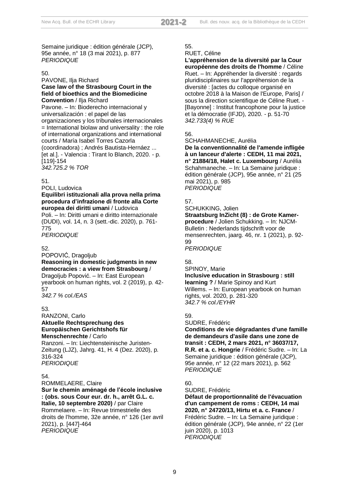Semaine juridique : édition générale (JCP), 95e année, n° 18 (3 mai 2021), p. 877 *PERIODIQUE*

#### 50.

#### PAVONE, Ilja Richard **Case law of the Strasbourg Court in the field of bioethics and the Biomedicine Convention** / Ilja Richard

Pavone. – In: Bioderecho internacional y universalización : el papel de las organizaciones y los tribunales internacionales  $=$  International biolaw and universality : the role of international organizations and international courts / María Isabel Torres Cazorla (coordinadora) ; Andrés Bautista-Hernáez ... [et al.]. - Valencia : Tirant lo Blanch, 2020. - p. [119]-154 *342.725.2 % TOR*

#### 51.

POLI, Ludovica

## **Equilibri istituzionali alla prova nella prima procedura d'infrazione di fronte alla Corte europea dei diritti umani** / Ludovica

Poli. – In: Diritti umani e diritto internazionale (DUDI), vol. 14, n. 3 (sett.-dic. 2020), p. 761- 775 *PERIODIQUE*

#### 52.

POPOVIĆ, Dragoljub

#### **Reasoning in domestic judgments in new democracies : a view from Strasbourg** /

Dragoljub Popović. – In: East European yearbook on human rights, vol. 2 (2019), p. 42- 57

*342.7 % col./EAS*

#### 53.

#### RANZONI, Carlo **Aktuelle Rechtsprechung des Europäischen Gerichtshofs für Menschenrechte** / Carlo

Ranzoni. – In: Liechtensteinische Juristen-Zeitung (LJZ), Jahrg. 41, H. 4 (Dez. 2020), p. 316-324 *PERIODIQUE*

#### 54.

ROMMELAERE, Claire

#### **Sur le chemin aménagé de l'école inclusive : (obs. sous Cour eur. dr. h., arrêt G.L. c. Italie, 10 septembre 2020)** / par Claire

Rommelaere. – In: Revue trimestrielle des droits de l'homme, 32e année, n° 126 (1er avril 2021), p. [447]-464 *PERIODIQUE*

#### 55.

#### RUET, Céline

**L'appréhension de la diversité par la Cour européenne des droits de l'homme** / Céline Ruet. – In: Appréhender la diversité : regards pluridisciplinaires sur l'appréhension de la diversité : [actes du colloque organisé en octobre 2018 à la Maison de l'Europe, Paris] / sous la direction scientifique de Céline Ruet. - [Bayonne] : Institut francophone pour la justice et la démocratie (IFJD), 2020. - p. 51-70 *342.733(4) % RUE*

## 56.

SCHAHMANECHE, Aurélia

**De la conventionnalité de l'amende infligée à un lanceur d'alerte : CEDH, 11 mai 2021, n° 21884/18, Halet c. Luxembourg** / Aurélia Schahmaneche. – In: La Semaine juridique : édition générale (JCP), 95e année, n° 21 (25 mai 2021), p. 985 *PERIODIQUE*

#### 57.

SCHUKKING, Jolien **Straatsburg InZicht (8) : de Grote Kamerprocedure** / Jolien Schukking. – In: NJCM-Bulletin : Nederlands tijdschrift voor de mensenrechten, jaarg. 46, nr. 1 (2021), p. 92- **99** 

*PERIODIQUE*

#### 58.

## SPINOY, Marie

**Inclusive education in Strasbourg : still learning ?** / Marie Spinoy and Kurt Willems. – In: European yearbook on human rights, vol. 2020, p. 281-320 *342.7 % col./EYHR*

#### 59.

SUDRE, Frédéric

**Conditions de vie dégradantes d'une famille de demandeurs d'asile dans une zone de transit : CEDH, 2 mars 2021, n° 36037/17, R.R. et a. c. Hongrie** / Frédéric Sudre. – In: La Semaine juridique : édition générale (JCP), 95e année, n° 12 (22 mars 2021), p. 562 *PERIODIQUE*

#### 60.

SUDRE, Frédéric

**Défaut de proportionnalité de l'évacuation d'un campement de roms : CEDH, 14 mai 2020, n° 24720/13, Hirtu et a. c. France** / Frédéric Sudre. – In: La Semaine juridique : édition générale (JCP), 94e année, n° 22 (1er juin 2020), p. 1013 *PERIODIQUE*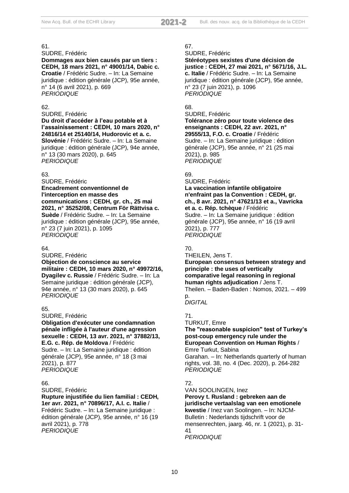SUDRE, Frédéric

**Dommages aux bien causés par un tiers : CEDH, 18 mars 2021, n° 49001/14, Dabic c. Croatie** / Frédéric Sudre. – In: La Semaine juridique : édition générale (JCP), 95e année, n° 14 (6 avril 2021), p. 669 *PERIODIQUE*

#### 62.

SUDRE, Frédéric

**Du droit d'accéder à l'eau potable et à l'assainissement : CEDH, 10 mars 2020, n° 24816/14 et 25140/14, Hudorovic et a. c. Slovénie** / Frédéric Sudre. – In: La Semaine juridique : édition générale (JCP), 94e année, n° 13 (30 mars 2020), p. 645 *PERIODIQUE*

#### 63.

SUDRE, Frédéric **Encadrement conventionnel de l'interception en masse des communications : CEDH, gr. ch., 25 mai 2021, n° 35252/08, Centrum För Rättvisa c. Suède** / Frédéric Sudre. – In: La Semaine juridique : édition générale (JCP), 95e année, n° 23 (7 juin 2021), p. 1095 *PERIODIQUE*

#### 64.

SUDRE, Frédéric **Objection de conscience au service militaire : CEDH, 10 mars 2020, n° 49972/16, Dyagilev c. Russie** / Frédéric Sudre. – In: La Semaine juridique : édition générale (JCP), 94e année, n° 13 (30 mars 2020), p. 645 *PERIODIQUE*

#### 65.

SUDRE, Frédéric **Obligation d'exécuter une condamnation pénale infligée à l'auteur d'une agression sexuelle : CEDH, 13 avr. 2021, n° 37882/13, E.G. c. Rép. de Moldova** / Frédéric Sudre. – In: La Semaine juridique : édition générale (JCP), 95e année, n° 18 (3 mai

2021), p. 877 *PERIODIQUE*

#### 66.

SUDRE, Frédéric

**Rupture injustifiée du lien familial : CEDH, 1er avr. 2021, n° 70896/17, A.I. c. Italie** / Frédéric Sudre. – In: La Semaine juridique : édition générale (JCP), 95e année, n° 16 (19

avril 2021), p. 778 *PERIODIQUE*

#### 67.

SUDRE, Frédéric

**Stéréotypes sexistes d'une décision de justice : CEDH, 27 mai 2021, n° 5671/16, J.L. c. Italie** / Frédéric Sudre. – In: La Semaine juridique : édition générale (JCP), 95e année, n° 23 (7 juin 2021), p. 1096 *PERIODIQUE*

#### 68.

SUDRE, Frédéric **Tolérance zéro pour toute violence des enseignants : CEDH, 22 avr. 2021, n° 29555/13, F.O. c. Croatie** / Frédéric Sudre. – In: La Semaine juridique : édition générale (JCP), 95e année, n° 21 (25 mai 2021), p. 985 *PERIODIQUE*

## 69.

SUDRE, Frédéric **La vaccination infantile obligatoire n'enfraint pas la Convention : CEDH, gr. ch., 8 avr. 2021, n° 47621/13 et a., Vavricka et a. c. Rép. tchèque** / Frédéric Sudre. – In: La Semaine juridique : édition générale (JCP), 95e année, n° 16 (19 avril 2021), p. 777 *PERIODIQUE*

## 70.

THEILEN, Jens T. **European consensus between strategy and principle : the uses of vertically comparative legal reasoning in regional human rights adjudication** / Jens T. Theilen. – Baden-Baden : Nomos, 2021. – 499

#### p. *DIGITAL*

71.

TURKUT, Emre

**The "reasonable suspicion" test of Turkey's post-coup emergency rule under the European Convention on Human Rights** / Emre Turkut, Sabina

Garahan. – In: Netherlands quarterly of human rights, vol. 38, no. 4 (Dec. 2020), p. 264-282 *PERIODIQUE*

#### 72.

VAN SOOLINGEN, Inez **Perovy t. Rusland : gebreken aan de juridische vertaalslag van een emotionele kwestie** / Inez van Soolingen. – In: NJCM-Bulletin : Nederlands tijdschrift voor de mensenrechten, jaarg. 46, nr. 1 (2021), p. 31- 41

*PERIODIQUE*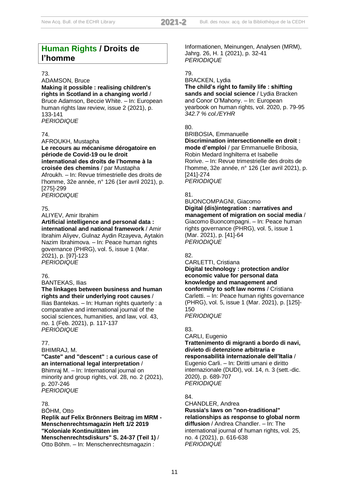## **Human Rights / Droits de l'homme**

#### 73.

ADAMSON, Bruce **Making it possible : realising children's rights in Scotland in a changing world** / Bruce Adamson, Beccie White. – In: European human rights law review, issue 2 (2021), p. 133-141 *PERIODIQUE*

## 74.

AFROUKH, Mustapha **Le recours au mécanisme dérogatoire en période de Covid-19 ou le droit international des droits de l'homme à la croisée des chemins** / par Mustapha Afroukh. – In: Revue trimestrielle des droits de l'homme, 32e année, n° 126 (1er avril 2021), p. [275]-299 *PERIODIQUE*

## 75.

ALIYEV, Amir Ibrahim **Artificial intelligence and personal data : international and national framework** / Amir Ibrahim Aliyev, Gulnaz Aydin Rzayeva, Aytakin Nazim Ibrahimova. – In: Peace human rights governance (PHRG), vol. 5, issue 1 (Mar.

2021), p. [97]-123 *PERIODIQUE*

#### 76.

BANTEKAS, Ilias

**The linkages between business and human rights and their underlying root causes** / Ilias Bantekas. – In: Human rights quarterly : a comparative and international journal of the social sciences, humanities, and law, vol. 43, no. 1 (Feb. 2021), p. 117-137

*PERIODIQUE*

## 77.

BHIMRAJ, M.

## **"Caste" and "descent" : a curious case of an international legal interpretation** /

Bhimraj M. – In: International journal on minority and group rights, vol. 28, no. 2 (2021), p. 207-246 *PERIODIQUE*

#### 78.

BÖHM, Otto **Replik auf Felix Brönners Beitrag im MRM - Menschenrechtsmagazin Heft 1/2 2019 "Koloniale Kontinuitäten im Menschenrechtsdiskurs" S. 24-37 (Teil 1)** / Otto Böhm. – In: Menschenrechtsmagazin :

Informationen, Meinungen, Analysen (MRM), Jahrg. 26, H. 1 (2021), p. 32-41 *PERIODIQUE*

## 79.

#### BRACKEN, Lydia **The child's right to family life : shifting sands and social science** / Lydia Bracken and Conor O'Mahony. – In: European yearbook on human rights, vol. 2020, p. 79-95 *342.7 % col./EYHR*

## 80.

#### BRIBOSIA, Emmanuelle **Discrimination intersectionnelle en droit : mode d'emploi** / par Emmanuelle Bribosia, Robin Medard Inghilterra et Isabelle Rorive. – In: Revue trimestrielle des droits de l'homme, 32e année, n° 126 (1er avril 2021), p. [241]-274 *PERIODIQUE*

## 81.

BUONCOMPAGNI, Giacomo **Digital (dis)integration : narratives and management of migration on social media** / Giacomo Buoncompagni. – In: Peace human rights governance (PHRG), vol. 5, issue 1 (Mar. 2021), p. [41]-64 *PERIODIQUE*

## 82.

CARLETTI, Cristiana

**Digital technology : protection and/or economic value for personal data knowledge and management and conformity to soft law norms** / Cristiana Carletti. – In: Peace human rights governance (PHRG), vol. 5, issue 1 (Mar. 2021), p. [125]- 150

*PERIODIQUE*

## 83.

#### CARLI, Eugenio **Trattenimento di migranti a bordo di navi, divieto di detenzione arbitraria e responsabilità internazionale dell'Italia** /

Eugenio Carli. – In: Diritti umani e diritto internazionale (DUDI), vol. 14, n. 3 (sett.-dic. 2020), p. 689-707 *PERIODIQUE*

## 84.

CHANDLER, Andrea **Russia's laws on "non-traditional" relationships as response to global norm diffusion** / Andrea Chandler. – In: The international journal of human rights, vol. 25, no. 4 (2021), p. 616-638 *PERIODIQUE*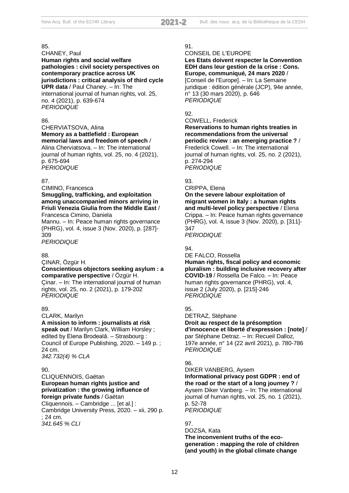CHANEY, Paul **Human rights and social welfare pathologies : civil society perspectives on contemporary practice across UK jurisdictions : critical analysis of third cycle UPR data** / Paul Chaney. – In: The international journal of human rights, vol. 25, no. 4 (2021), p. 639-674 *PERIODIQUE*

#### 86.

CHERVIATSOVA, Alina **Memory as a battlefield : European memorial laws and freedom of speech** / Alina Cherviatsova. – In: The international

journal of human rights, vol. 25, no. 4 (2021), p. 675-694 *PERIODIQUE*

#### 87.

CIMINO, Francesca

**Smuggling, trafficking, and exploitation among unaccompanied minors arriving in Friuli Venezia Giulia from the Middle East** / Francesca Cimino, Daniela

Mannu. – In: Peace human rights governance (PHRG), vol. 4, issue 3 (Nov. 2020), p. [287]- 309

*PERIODIQUE*

#### 88.

ÇINAR, Özgür H.

#### **Conscientious objectors seeking asylum : a comparative perspective** / Özgür H.

Çinar. – In: The international journal of human rights, vol. 25, no. 2 (2021), p. 179-202 *PERIODIQUE*

#### 89.

CLARK, Marilyn

**A mission to inform : journalists at risk speak out** / Marilyn Clark, William Horsley ; edited by Elena Brodeală. – Strasbourg : Council of Europe Publishing, 2020. – 149 p. ; 24 cm.

*342.732(4) % CLA*

#### $90^{\circ}$

CLIQUENNOIS, Gaëtan **European human rights justice and privatization : the growing influence of foreign private funds** / Gaëtan

Cliquennois. – Cambridge ... [et al.] : Cambridge University Press, 2020. – xii, 290 p. ; 24 cm. *341.645 % CLI*

#### 91.

CONSEIL DE L'EUROPE

#### **Les Etats doivent respecter la Convention EDH dans leur gestion de la crise : Cons. Europe, communiqué, 24 mars 2020** /

[Conseil de l'Europe]. – In: La Semaine juridique : édition générale (JCP), 94e année, n° 13 (30 mars 2020), p. 646 *PERIODIQUE*

#### 92.

COWELL, Frederick

**Reservations to human rights treaties in recommendations from the universal periodic review : an emerging practice ?** / Frederick Cowell. – In: The international journal of human rights, vol. 25, no. 2 (2021), p. 274-294 *PERIODIQUE*

#### 93.

CRIPPA, Elena

**On the severe labour exploitation of migrant women in Italy : a human rights and multi-level policy perspective** / Elena Crippa. – In: Peace human rights governance (PHRG), vol. 4, issue 3 (Nov. 2020), p. [311]- 347 *PERIODIQUE*

#### $Q_{\mathcal{A}}$

DE FALCO, Rossella **Human rights, fiscal policy and economic pluralism : building inclusive recovery after COVID-19** / Rossella De Falco. – In: Peace human rights governance (PHRG), vol. 4, issue 2 (July 2020), p. [215]-246 *PERIODIQUE*

#### 95.

DETRAZ, Stéphane **Droit au respect de la présomption d'innocence et liberté d'expression : [note]** / par Stéphane Detraz. – In: Recueil Dalloz, 197e année, n° 14 (22 avril 2021), p. 780-786 *PERIODIQUE*

#### 96.

DIKER VANBERG, Aysem **Informational privacy post GDPR : end of the road or the start of a long journey ?** / Aysem Diker Vanberg. – In: The international journal of human rights, vol. 25, no. 1 (2021), p. 52-78 *PERIODIQUE*

### 97.

DOZSA, Kata **The inconvenient truths of the ecogeneration : mapping the role of children (and youth) in the global climate change**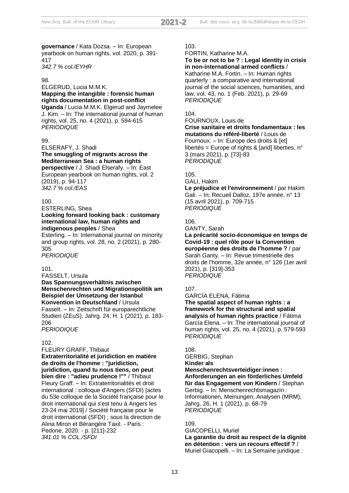**governance** / Kata Dozsa. – In: European yearbook on human rights, vol. 2020, p. 391- 417 *342.7 % col./EYHR*

#### 98.

ELGERUD, Lucia M.M.K. **Mapping the intangible : forensic human rights documentation in post-conflict Uganda** / Lucia M.M.K. Elgerud and Jaymelee J. Kim. – In: The international journal of human rights, vol. 25, no. 4 (2021), p. 594-615 *PERIODIQUE*

#### 99.

ELSERAFY, J. Shadi

**The smuggling of migrants across the Mediterranean Sea : a human rights perspective** / J. Shadi Elserafy. – In: East European yearbook on human rights, vol. 2 (2019), p. 94-117 *342.7 % col./EAS*

#### 100.

ESTERLING, Shea

**Looking forward looking back : customary international law, human rights and indigenous peoples** / Shea

Esterling. – In: International journal on minority and group rights, vol. 28, no. 2 (2021), p. 280- 305

*PERIODIQUE*

## 101.

FASSELT, Ursula **Das Spannungsverhältnis zwischen Menschenrechten und Migrationspolitik am Beispiel der Umsetzung der Istanbul Konvention in Deutschland** / Ursula Fasselt. – In: Zeitschrift für europarechtliche Studien (ZEuS), Jahrg. 24, H. 1 (2021), p. 183- 206

*PERIODIQUE*

#### 102.

FLEURY GRAFF, Thibaut

**Extraterritorialité et juridiction en matière de droits de l'homme : "juridiction, juridiction, quand tu nous tiens, on peut bien dire : "adieu prudence !""** / Thibaut Fleury Graff. – In: Extraterritorialités et droit international : colloque d'Angers (SFDI) [actes du 53e colloque de la Société française pour le droit international qui s'est tenu à Angers les 23-24 mai 2019] / Société française pour le droit international (SFDI) ; sous la direction de Alina Miron et Bérangère Taxil. - Paris : Pedone, 2020. - p. [211]-232 *341.01 % COL./SFDI*

#### 103.

FORTIN, Katharine M.A.

**To be or not to be ? : Legal identity in crisis in non-international armed conflicts** / Katharine M.A. Fortin. – In: Human rights quarterly : a comparative and international journal of the social sciences, humanities, and law, vol. 43, no. 1 (Feb. 2021), p. 29-69 *PERIODIQUE*

## 104.

FOURNOUX, Louis de

**Crise sanitaire et droits fondamentaux : les mutations du référé-liberté** / Louis de Fournoux. – In: Europe des droits & [et] libertés = Europe of rights & [and] liberties,  $n^{\circ}$ 3 (mars 2021), p. [73]-83 *PERIODIQUE*

#### 105.

GALI, Hakim

**Le préjudice et l'environnement** / par Hakim Gali. – In: Recueil Dalloz, 197e année, n° 13 (15 avril 2021), p. 709-715 *PERIODIQUE*

#### 106.

GANTY, Sarah

**La précarité socio-économique en temps de Covid-19 : quel rôle pour la Convention européenne des droits de l'homme ?** / par Sarah Ganty. – In: Revue trimestrielle des droits de l'homme, 32e année, n° 126 (1er avril 2021), p. [319]-353 *PERIODIQUE*

#### 107.

GARCÍA ELENA, Fátima **The spatial aspect of human rights : a framework for the structural and spatial analysis of human rights practice** / Fátima García Elena. – In: The international journal of human rights, vol. 25, no. 4 (2021), p. 579-593 *PERIODIQUE*

#### 108.

GERBIG, Stephan **Kinder als Menschenrechtsverteidiger:innen : Anforderungen an ein förderliches Umfeld für das Engagement von Kindern** / Stephan Gerbig. – In: Menschenrechtsmagazin : Informationen, Meinungen, Analysen (MRM), Jahrg. 26, H. 1 (2021), p. 68-79 *PERIODIQUE*

#### 109.

GIACOPELLI, Muriel

**La garantie du droit au respect de la dignité en détention : vers un recours effectif ?** / Muriel Giacopelli. – In: La Semaine juridique :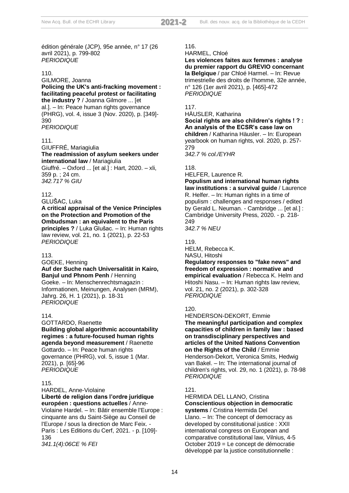édition générale (JCP), 95e année, n° 17 (26 avril 2021), p. 799-802 *PERIODIQUE*

#### 110.

#### GILMORE, Joanna **Policing the UK's anti-fracking movement : facilitating peaceful protest or facilitating the industry ?** / Joanna Gilmore ... [et al.]. – In: Peace human rights governance

(PHRG), vol. 4, issue 3 (Nov. 2020), p. [349]- 390 *PERIODIQUE*

#### 111.

GIUFFRÉ, Mariagiulia **The readmission of asylum seekers under international law** / Mariagiulia Giuffré. – Oxford ... [et al.] : Hart, 2020. – xli,

359 p. ; 24 cm. *342.717 % GIU*

#### 112.

GLUŠAC, Luka

**A critical appraisal of the Venice Principles on the Protection and Promotion of the Ombudsman : an equivalent to the Paris principles ?** / Luka Glušac. – In: Human rights law review, vol. 21, no. 1 (2021), p. 22-53 *PERIODIQUE*

#### 113.

GOEKE, Henning

#### **Auf der Suche nach Universalität in Kairo, Banjul und Phnom Penh** / Henning

Goeke. – In: Menschenrechtsmagazin : Informationen, Meinungen, Analysen (MRM), Jahrg. 26, H. 1 (2021), p. 18-31 *PERIODIQUE*

#### 114.

GOTTARDO, Raenette **Building global algorithmic accountability regimes : a future-focused human rights agenda beyond measurement** / Raenette Gottardo. – In: Peace human rights governance (PHRG), vol. 5, issue 1 (Mar. 2021), p. [65]-96 *PERIODIQUE*

#### 115.

HARDEL, Anne-Violaine

#### **Liberté de religion dans l'ordre juridique européen : questions actuelles** / Anne-

Violaine Hardel. – In: Bâtir ensemble l'Europe : cinquante ans du Saint-Siège au Conseil de l'Europe / sous la direction de Marc Feix. - Paris : Les Editions du Cerf, 2021. - p. [109]- 136 *341.1(4):06CE % FEI*

#### 116.

HARMEL, Chloé

**Les violences faites aux femmes : analyse du premier rapport du GREVIO concernant la Belgique** / par Chloé Harmel. – In: Revue trimestrielle des droits de l'homme, 32e année, n° 126 (1er avril 2021), p. [465]-472 *PERIODIQUE*

#### 117.

HÄUSLER, Katharina

**Social rights are also children's rights ! ? : An analysis of the ECSR's case law on children** / Katharina Häusler. – In: European yearbook on human rights, vol. 2020, p. 257- 279 *342.7 % col./EYHR*

#### 118.

HELFER, Laurence R.

**Populism and international human rights law institutions : a survival guide** / Laurence R. Helfer. – In: Human rights in a time of populism : challenges and responses / edited by Gerald L. Neuman. - Cambridge ... [et al.] : Cambridge University Press, 2020. - p. 218- 249

*342.7 % NEU*

119. HELM, Rebecca K.

NASU, Hitoshi

**Regulatory responses to "fake news" and freedom of expression : normative and empirical evaluation** / Rebecca K. Helm and Hitoshi Nasu. – In: Human rights law review, vol. 21, no. 2 (2021), p. 302-328 *PERIODIQUE*

#### 120.

HENDERSON-DEKORT, Emmie **The meaningful participation and complex capacities of children in family law : based on transdisciplinary perspectives and articles of the United Nations Convention on the Rights of the Child** / Emmie Henderson-Dekort, Veronica Smits, Hedwig van Bakel. – In: The international journal of children's rights, vol. 29, no. 1 (2021), p. 78-98 *PERIODIQUE*

#### 121.

#### HERMIDA DEL LLANO, Cristina **Conscientious objection in democratic systems** / Cristina Hermida Del

Llano. – In: The concept of democracy as developed by constitutional justice : XXII international congress on European and comparative constitutional law, Vilnius, 4-5 October 2019 = Le concept de démocratie développé par la justice constitutionnelle :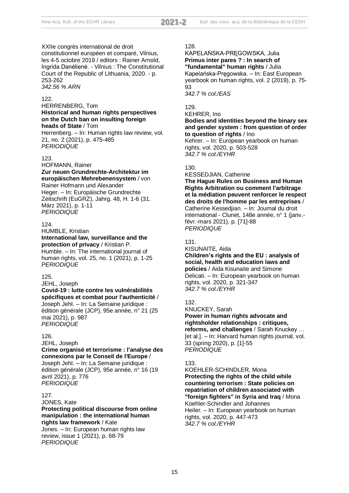XXIIe congrès international de droit constitutionnel européen et comparé, Vilnius, les 4-5 octobre 2019 / editors : Rainer Arnold, Ingrida Danėlienė. - Vilnius : The Constitutional Court of the Republic of Lithuania, 2020. - p. 253-262 *342.56 % ARN*

#### 122.

#### HERRENBERG, Tom **Historical and human rights perspectives on the Dutch ban on insulting foreign heads of State** / Tom

Herrenberg. – In: Human rights law review, vol. 21, no. 2 (2021), p. 475-485 *PERIODIQUE*

#### 123.

## HOFMANN, Rainer

**Zur neuen Grundrechte-Architektur im europäischen Mehrebenensystem** / von Rainer Hofmann und Alexander Heger. – In: Europäische Grundrechte Zeitschrift (EuGRZ), Jahrg. 48, H. 1-6 (31. März 2021), p. 1-11 *PERIODIQUE*

#### $124.$

HUMBLE, Kristian

## **International law, surveillance and the protection of privacy** / Kristian P.

Humble. – In: The international journal of human rights, vol. 25, no. 1 (2021), p. 1-25 *PERIODIQUE*

#### 125.

JEHL, Joseph

#### **Covid-19 : lutte contre les vulnérabilités spécifiques et combat pour l'authenticité** / Joseph Jehl. – In: La Semaine juridique : édition générale (JCP), 95e année, n° 21 (25

mai 2021), p. 987 *PERIODIQUE*

#### 126.

JEHL, Joseph

#### **Crime organisé et terrorisme : l'analyse des connexions par le Conseil de l'Europe** / Joseph Jehl. – In: La Semaine juridique : édition générale (JCP), 95e année, n° 16 (19 avril 2021), p. 776 *PERIODIQUE*

## 127.

#### JONES, Kate **Protecting political discourse from online manipulation : the international human rights law framework** / Kate

Jones. – In: European human rights law review, issue 1 (2021), p. 68-79 *PERIODIQUE*

#### 128.

KAPELAŃSKA-PRĘGOWSKA, Julia **Primus inter pares ? : In search of "fundamental" human rights** / Julia Kapelańska-Pręgowska. – In: East European yearbook on human rights, vol. 2 (2019), p. 75- 93 *342.7 % col./EAS*

## 129.

KEHRER, Ino

#### **Bodies and identities beyond the binary sex and gender system : from question of order to question of rights** / Ino

Kehrer. – In: European yearbook on human rights, vol. 2020, p. 503-528 *342.7 % col./EYHR*

#### 130.

#### KESSEDJIAN, Catherine

**The Hague Rules on Business and Human Rights Arbitration ou comment l'arbitrage et la médiation peuvent renforcer le respect des droits de l'homme par les entreprises** / Catherine Kessedjian. – In: Journal du droit international - Clunet, 148e année, n° 1 (janv. févr.-mars 2021), p. [71]-88 *PERIODIQUE*

#### 131.

KISUNAITE, Aida

**Children's rights and the EU : analysis of social, health and education laws and policies** / Aida Kisunaite and Simone Delicati. – In: European yearbook on human rights, vol. 2020, p. 321-347 *342.7 % col./EYHR*

#### 132.

#### KNUCKEY, Sarah **Power in human rights advocate and rightsholder relationships : critiques, reforms, and challenges** / Sarah Knuckey … [et al.]. – In: Harvard human rights journal, vol. 33 (spring 2020), p. [1]-55 *PERIODIQUE*

#### 133.

KOEHLER-SCHINDLER, Mona **Protecting the rights of the child while countering terrorism : State policies on repatriation of children associated with "foreign fighters" in Syria and Iraq** / Mona Koehler-Schindler and Johannes Heiler. – In: European yearbook on human rights, vol. 2020, p. 447-473 *342.7 % col./EYHR*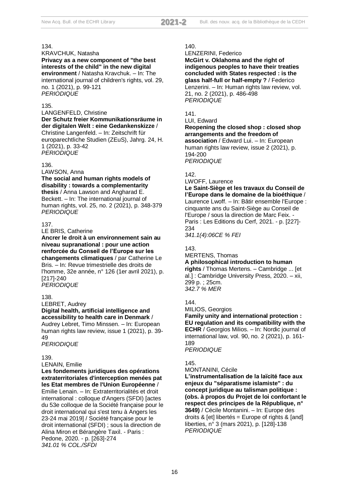KRAVCHUK, Natasha **Privacy as a new component of "the best interests of the child" in the new digital environment** / Natasha Kravchuk. – In: The international journal of children's rights, vol. 29, no. 1 (2021), p. 99-121 *PERIODIQUE*

#### 135.

LANGENFELD, Christine **Der Schutz freier Kommunikationsräume in der digitalen Welt : eine Gedankenskizze** / Christine Langenfeld. – In: Zeitschrift für europarechtliche Studien (ZEuS), Jahrg. 24, H. 1 (2021), p. 33-42 *PERIODIQUE*

#### 136.

LAWSON, Anna

**The social and human rights models of disability : towards a complementarity** 

**thesis** / Anna Lawson and Angharad E. Beckett. – In: The international journal of human rights, vol. 25, no. 2 (2021), p. 348-379 *PERIODIQUE*

#### 137.

LE BRIS, Catherine

**Ancrer le droit à un environnement sain au niveau supranational : pour une action renforcée du Conseil de l'Europe sur les changements climatiques** / par Catherine Le Bris. – In: Revue trimestrielle des droits de l'homme, 32e année, n° 126 (1er avril 2021), p. [217]-240 *PERIODIQUE*

#### 138.

LEBRET, Audrey

**Digital health, artificial intelligence and accessibility to health care in Denmark** / Audrey Lebret, Timo Minssen. – In: European human rights law review, issue 1 (2021), p. 39- 49

*PERIODIQUE*

#### 139.

LENAIN, Emilie

**Les fondements juridiques des opérations extraterritoriales d'interception menées pat les Etat membres de l'Union Européenne** / Emilie Lenain. – In: Extraterritorialités et droit international : colloque d'Angers (SFDI) [actes du 53e colloque de la Société française pour le droit international qui s'est tenu à Angers les 23-24 mai 2019] / Société française pour le droit international (SFDI) ; sous la direction de Alina Miron et Bérangère Taxil. - Paris : Pedone, 2020. - p. [263]-274 *341.01 % COL./SFDI*

#### 140.

LENZERINI, Federico

**McGirt v. Oklahoma and the right of indigenous peoples to have their treaties concluded with States respected : is the glass half-full or half-empty ?** / Federico Lenzerini. – In: Human rights law review, vol. 21, no. 2 (2021), p. 486-498 *PERIODIQUE*

## 141.

#### LUI, Edward

**Reopening the closed shop : closed shop arrangements and the freedom of association** / Edward Lui. – In: European

human rights law review, issue 2 (2021), p. 194-200 *PERIODIQUE*

## 142.

LWOFF, Laurence

**Le Saint-Siège et les travaux du Conseil de l'Europe dans le domaine de la bioéthique** / Laurence Lwoff. – In: Bâtir ensemble l'Europe : cinquante ans du Saint-Siège au Conseil de l'Europe / sous la direction de Marc Feix. - Paris : Les Editions du Cerf, 2021. - p. [227]- 234

*341.1(4):06CE % FEI*

#### 143.

MERTENS, Thomas

**A philosophical introduction to human** 

**rights** / Thomas Mertens. – Cambridge ... [et al.] : Cambridge University Press, 2020. – xii, 299 p. ; 25cm. *342.7 % MER*

#### 144.

MILIOS, Georgios

**Family unity and international protection : EU regulation and its compatibility with the ECHR** / Georgios Milios. – In: Nordic journal of international law, vol. 90, no. 2 (2021), p. 161- 189

*PERIODIQUE*

#### 145.

MONTANINI, Cécile

**L'instrumentalisation de la laïcité face aux enjeux du "séparatisme islamiste" : du concept juridique au talisman politique : (obs. à propos du Projet de loi confortant le respect des principes de la République, n° 3649)** / Cécile Montanini. – In: Europe des droits & [et] libertés = Europe of rights & [and] liberties, n° 3 (mars 2021), p. [128]-138 *PERIODIQUE*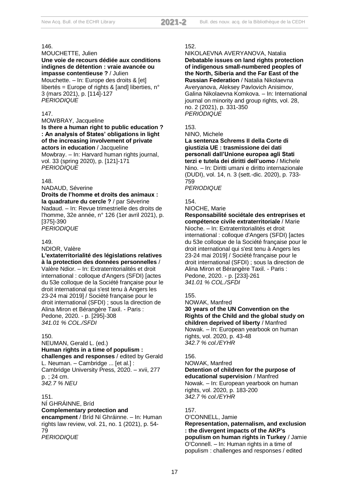#### MOUCHETTE, Julien

#### **Une voie de recours dédiée aux conditions indignes de détention : vraie avancée ou impasse contentieuse ?** / Julien

Mouchette. – In: Europe des droits & [et] libertés = Europe of rights & [and] liberties,  $n^{\circ}$ 3 (mars 2021), p. [114]-127 *PERIODIQUE*

#### 147.

MOWBRAY, Jacqueline **Is there a human right to public education ? : An analysis of States' obligations in light of the increasing involvement of private actors in education** / Jacqueline Mowbray. – In: Harvard human rights journal,

vol. 33 (spring 2020), p. [121]-171 *PERIODIQUE*

#### 148.

NADAUD, Séverine

#### **Droits de l'homme et droits des animaux : la quadrature du cercle ?** / par Séverine

Nadaud. – In: Revue trimestrielle des droits de l'homme, 32e année, n° 126 (1er avril 2021), p. [375]-390

*PERIODIQUE*

#### 149.

#### NDIOR, Valère

**L'extaterritorialité des législations relatives à la protection des données personnelles** / Valère Ndior. – In: Extraterritorialités et droit international : colloque d'Angers (SFDI) [actes du 53e colloque de la Société française pour le droit international qui s'est tenu à Angers les 23-24 mai 2019] / Société française pour le droit international (SFDI) ; sous la direction de Alina Miron et Bérangère Taxil. - Paris : Pedone, 2020. - p. [295]-308 *341.01 % COL./SFDI*

#### 150.

NEUMAN, Gerald L. (ed.) **Human rights in a time of populism : challenges and responses** / edited by Gerald L. Neuman. – Cambridge ... [et al.] : Cambridge University Press, 2020. – xvii, 277 p. ; 24 cm. *342.7 % NEU*

#### 151.

NÍ GHRÁINNE, Bríd **Complementary protection and encampment** / Bríd Ní Ghráinne. – In: Human rights law review, vol. 21, no. 1 (2021), p. 54- 79 *PERIODIQUE*

#### 152.

## NIKOLAEVNA AVERYANOVA, Natalia

**Debatable issues on land rights protection of indigenous small-numbered peoples of the North, Siberia and the Far East of the Russian Federation** / Natalia Nikolaevna Averyanova, Aleksey Pavlovich Anisimov, Galina Nikolaevna Komkova. – In: International journal on minority and group rights, vol. 28, no. 2 (2021), p. 331-350 *PERIODIQUE*

#### 153.

NINO, Michele

**La sentenza Schrems II della Corte di giustizia UE : trasmissione dei dati personali dall'Unione europea agli Stati terzi e tutela dei diritti dell'uomo** / Michele Nino. – In: Diritti umani e diritto internazionale (DUDI), vol. 14, n. 3 (sett.-dic. 2020), p. 733- 759

*PERIODIQUE*

## 154.

NIOCHE, Marie

#### **Responsabilité sociétale des entreprises et compétence civile extraterritoriale** / Marie Nioche. – In: Extraterritorialités et droit international : colloque d'Angers (SFDI) [actes du 53e colloque de la Société française pour le droit international qui s'est tenu à Angers les 23-24 mai 2019] / Société française pour le droit international (SFDI) ; sous la direction de Alina Miron et Bérangère Taxil. - Paris : Pedone, 2020. - p. [233]-261

*341.01 % COL./SFDI*

#### 155.

NOWAK, Manfred

**30 years of the UN Convention on the Rights of the Child and the global study on children deprived of liberty** / Manfred Nowak. – In: European yearbook on human rights, vol. 2020, p. 43-48 *342.7 % col./EYHR*

#### 156.

#### NOWAK, Manfred

**Detention of children for the purpose of educational supervision** / Manfred

Nowak. – In: European yearbook on human rights, vol. 2020, p. 183-200 *342.7 % col./EYHR*

#### 157.

O'CONNELL, Jamie **Representation, paternalism, and exclusion : the divergent impacts of the AKP's populism on human rights in Turkey** / Jamie O'Connell. – In: Human rights in a time of populism : challenges and responses / edited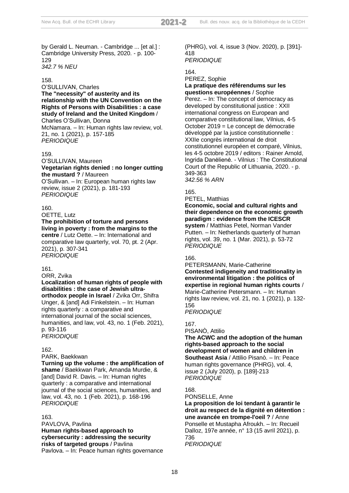by Gerald L. Neuman. - Cambridge ... [et al.] : Cambridge University Press, 2020. - p. 100- 129 *342.7 % NEU*

#### 158.

O'SULLIVAN, Charles **The "necessity" of austerity and its relationship with the UN Convention on the Rights of Persons with Disabilities : a case study of Ireland and the United Kingdom** / Charles O'Sullivan, Donna

McNamara. – In: Human rights law review, vol. 21, no. 1 (2021), p. 157-185 *PERIODIQUE*

#### 159.

O'SULLIVAN, Maureen **Vegetarian rights denied : no longer cutting the mustard ?** / Maureen

O'Sullivan. – In: European human rights law review, issue 2 (2021), p. 181-193 *PERIODIQUE*

#### 160.

OETTE, Lutz **The prohibition of torture and persons living in poverty : from the margins to the centre** / Lutz Oette. – In: International and comparative law quarterly, vol. 70, pt. 2 (Apr. 2021), p. 307-341 *PERIODIQUE*

#### 161.

ORR, Zvika

**Localization of human rights of people with disabilities : the case of Jewish ultraorthodox people in Israel** / Zvika Orr, Shifra Unger, & [and] Adi Finkelstein. – In: Human rights quarterly : a comparative and international journal of the social sciences, humanities, and law, vol. 43, no. 1 (Feb. 2021), p. 93-116 *PERIODIQUE*

#### 162.

PARK, Baekkwan

**Turning up the volume : the amplification of shame** / Baekkwan Park, Amanda Murdie, & [and] David R. Davis. – In: Human rights quarterly : a comparative and international journal of the social sciences, humanities, and law, vol. 43, no. 1 (Feb. 2021), p. 168-196 *PERIODIQUE*

#### 163.

PAVLOVA, Pavlina **Human rights-based approach to cybersecurity : addressing the security risks of targeted groups** / Pavlina Pavlova. – In: Peace human rights governance (PHRG), vol. 4, issue 3 (Nov. 2020), p. [391]- 418 *PERIODIQUE*

## 164.

#### PEREZ, Sophie **La pratique des référendums sur les questions européennes** / Sophie Perez. – In: The concept of democracy as developed by constitutional justice : XXII international congress on European and comparative constitutional law, Vilnius, 4-5 October 2019 = Le concept de démocratie développé par la justice constitutionnelle : XXIIe congrès international de droit constitutionnel européen et comparé, Vilnius,

les 4-5 octobre 2019 / editors : Rainer Arnold, Ingrida Danėlienė. - Vilnius : The Constitutional Court of the Republic of Lithuania, 2020. - p. 349-363

*342.56 % ARN*

165.

PETEL, Matthias

**Economic, social and cultural rights and their dependence on the economic growth paradigm : evidence from the ICESCR system** / Matthias Petel, Norman Vander Putten. – In: Netherlands quarterly of human rights, vol. 39, no. 1 (Mar. 2021), p. 53-72 *PERIODIQUE*

#### 166.

PETERSMANN, Marie-Catherine **Contested indigeneity and traditionality in environmental litigation : the politics of expertise in regional human rights courts** / Marie-Catherine Petersmann. – In: Human rights law review, vol. 21, no. 1 (2021), p. 132- 156

*PERIODIQUE*

167.

PISANÒ, Attilio

**The ACWC and the adoption of the human rights-based approach to the social development of women and children in Southeast Asia** / Attilio Pisanò. – In: Peace human rights governance (PHRG), vol. 4, issue 2 (July 2020), p. [189]-213 *PERIODIQUE*

#### 168.

PONSELLE, Anne

**La proposition de loi tendant à garantir le droit au respect de la dignité en détention : une avancée en trompe-l'oeil ?** / Anne Ponselle et Mustapha Afroukh. – In: Recueil Dalloz, 197e année, n° 13 (15 avril 2021), p. 736 *PERIODIQUE*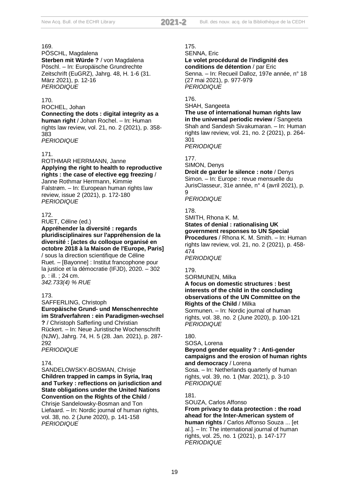PÖSCHL, Magdalena Sterben mit Würde ? / von Magdalena Pöschl. – In: Europäische Grundrechte Zeitschrift (EuGRZ), Jahrg. 48, H. 1-6 (31. März 2021), p. 12-16 *PERIODIQUE*

#### 170.

ROCHEL, Johan

**Connecting the dots : digital integrity as a human right** / Johan Rochel. – In: Human rights law review, vol. 21, no. 2 (2021), p. 358- 383 *PERIODIQUE*

#### 171.

ROTHMAR HERRMANN, Janne **Applying the right to health to reproductive rights : the case of elective egg freezing** / Janne Rothmar Herrmann, Kimmie Falstrøm. – In: European human rights law review, issue 2 (2021), p. 172-180 *PERIODIQUE*

#### 172.

RUET, Céline (ed.)

**Appréhender la diversité : regards pluridisciplinaires sur l'appréhension de la diversité : [actes du colloque organisé en octobre 2018 à la Maison de l'Europe, Paris]** / sous la direction scientifique de Céline Ruet. – [Bayonne] : Institut francophone pour la justice et la démocratie (IFJD), 2020. – 302 p. : ill. ; 24 cm. *342.733(4) % RUE*

#### 173.

SAFFERLING, Christoph **Europäische Grund- und Menschenrechte im Strafverfahren : ein Paradigmen-wechsel ?** / Christoph Safferling und Christian Rückert. – In: Neue Juristische Wochenschrift (NJW), Jahrg. 74, H. 5 (28. Jan. 2021), p. 287- 292

*PERIODIQUE*

#### 174.

SANDELOWSKY-BOSMAN, Chrisje **Children trapped in camps in Syria, Iraq and Turkey : reflections on jurisdiction and State obligations under the United Nations Convention on the Rights of the Child** / Chrisje Sandelowsky-Bosman and Ton

Liefaard. – In: Nordic journal of human rights, vol. 38, no. 2 (June 2020), p. 141-158 *PERIODIQUE*

## 175.

SENNA, Eric

**Le volet procédural de l'indignité des conditions de détention** / par Eric Senna. – In: Recueil Dalloz, 197e année, n° 18 (27 mai 2021), p. 977-979 *PERIODIQUE*

#### 176.

SHAH, Sangeeta

**The use of international human rights law in the universal periodic review** / Sangeeta Shah and Sandesh Sivakumaran. – In: Human rights law review, vol. 21, no. 2 (2021), p. 264- 301

*PERIODIQUE*

#### 177.

SIMON, Denys

**Droit de garder le silence : note** / Denys Simon. – In: Europe : revue mensuelle du JurisClasseur, 31e année, n° 4 (avril 2021), p. 9

#### *PERIODIQUE*

178.

SMITH, Rhona K. M.

**States of denial : rationalising UK government responses to UN Special Procedures** / Rhona K. M. Smith. – In: Human rights law review, vol. 21, no. 2 (2021), p. 458- 474 *PERIODIQUE*

#### 179.

SORMUNEN, Milka

#### **A focus on domestic structures : best interests of the child in the concluding observations of the UN Committee on the Rights of the Child** / Milka

Sormunen. – In: Nordic journal of human rights, vol. 38, no. 2 (June 2020), p. 100-121 *PERIODIQUE*

#### 180.

SOSA, Lorena

#### **Beyond gender equality ? : Anti-gender campaigns and the erosion of human rights and democracy** / Lorena

Sosa. – In: Netherlands quarterly of human rights, vol. 39, no. 1 (Mar. 2021), p. 3-10 *PERIODIQUE*

#### 181.

SOUZA, Carlos Affonso

**From privacy to data protection : the road ahead for the Inter-American system of human rights** / Carlos Affonso Souza ... [et al.]. – In: The international journal of human rights, vol. 25, no. 1 (2021), p. 147-177 *PERIODIQUE*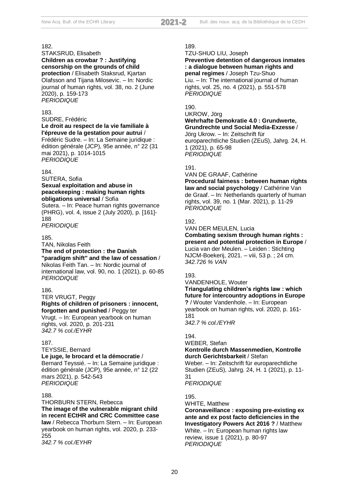#### STAKSRUD, Elisabeth **Children as crowbar ? : Justifying censorship on the grounds of child protection** / Elisabeth Staksrud, Kjartan Olafsson and Tijana Milosevic. – In: Nordic journal of human rights, vol. 38, no. 2 (June 2020), p. 159-173 *PERIODIQUE*

183.

SUDRE, Frédéric

**Le droit au respect de la vie familiale à l'épreuve de la gestation pour autrui** /

Frédéric Sudre. – In: La Semaine juridique : édition générale (JCP), 95e année, n° 22 (31 mai 2021), p. 1014-1015 *PERIODIQUE*

#### 184.

SUTERA, Sofia **Sexual exploitation and abuse in peacekeeping : making human rights obligations universal** / Sofia

Sutera. – In: Peace human rights governance (PHRG), vol. 4, issue 2 (July 2020), p. [161]- 188

*PERIODIQUE*

#### 185.

TAN, Nikolas Feith

*PERIODIQUE*

## **The end of protection : the Danish**

**"paradigm shift" and the law of cessation** / Nikolas Feith Tan. – In: Nordic journal of international law, vol. 90, no. 1 (2021), p. 60-85

186.

TER VRUGT, Peggy **Rights of children of prisoners : innocent, forgotten and punished** / Peggy ter

Vrugt. – In: European yearbook on human rights, vol. 2020, p. 201-231 *342.7 % col./EYHR*

#### 187.

#### TEYSSIE, Bernard

**Le juge, le brocard et la démocratie** / Bernard Teyssié. – In: La Semaine juridique :

édition générale (JCP), 95e année, n° 12 (22 mars 2021), p. 542-543 *PERIODIQUE*

#### 188.

THORBURN STERN, Rebecca **The image of the vulnerable migrant child in recent ECtHR and CRC Committee case law** / Rebecca Thorburn Stern. – In: European yearbook on human rights, vol. 2020, p. 233- 255 *342.7 % col./EYHR*

#### 189.

TZU-SHUO LIU, Joseph

#### **Preventive detention of dangerous inmates : a dialogue between human rights and penal regimes** / Joseph Tzu-Shuo Liu. – In: The international journal of human rights, vol. 25, no. 4 (2021), p. 551-578 *PERIODIQUE*

#### 190.

UKROW, Jörg **Wehrhafte Demokratie 4.0 : Grundwerte, Grundrechte und Social Media-Exzesse** / Jörg Ukrow. – In: Zeitschrift für europarechtliche Studien (ZEuS), Jahrg. 24, H. 1 (2021), p. 65-98 *PERIODIQUE*

#### 191.

VAN DE GRAAF, Cathérine

**Procedural fairness : between human rights law and social psychology** / Cathérine Van de Graaf. – In: Netherlands quarterly of human rights, vol. 39, no. 1 (Mar. 2021), p. 11-29 *PERIODIQUE*

#### 192.

VAN DER MEULEN, Lucia **Combating sexism through human rights :** 

**present and potential protection in Europe** / Lucia van der Meulen. – Leiden : Stichting NJCM-Boekerij, 2021. – viii, 53 p. ; 24 cm. *342.726 % VAN*

#### 193.

VANDENHOLE, Wouter

**Triangulating children's rights law : which future for intercountry adoptions in Europe ?** / Wouter Vandenhole. – In: European

yearbook on human rights, vol. 2020, p. 161- 181

*342.7 % col./EYHR*

#### 194.

WEBER, Stefan

#### **Kontrolle durch Massenmedien, Kontrolle durch Gerichtsbarkeit** / Stefan

Weber. – In: Zeitschrift für europarechtliche Studien (ZEuS), Jahrg. 24, H. 1 (2021), p. 11- 31

*PERIODIQUE*

#### 195.

WHITE, Matthew

**Coronaveillance : exposing pre-existing ex ante and ex post facto deficiencies in the Investigatory Powers Act 2016 ?** / Matthew White. – In: European human rights law review, issue 1 (2021), p. 80-97 *PERIODIQUE*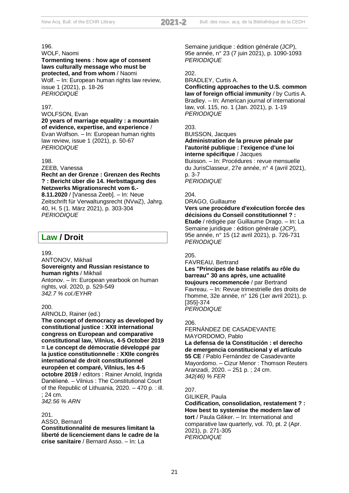#### WOLF, Naomi **Tormenting teens : how age of consent laws culturally message who must be protected, and from whom** / Naomi

Wolf. – In: European human rights law review, issue 1 (2021), p. 18-26 *PERIODIQUE*

#### 197.

#### WOLFSON, Evan

**20 years of marriage equality : a mountain of evidence, expertise, and experience** / Evan Wolfson. – In: European human rights law review, issue 1 (2021), p. 50-67 *PERIODIQUE*

#### 198.

ZEEB, Vanessa

#### **Recht an der Grenze : Grenzen des Rechts ? : Bericht über die 14. Herbsttagung des Netzwerks Migrationsrecht vom 6.-**

**8.11.2020** / [Vanessa Zeeb]. – In: Neue Zeitschrift für Verwaltungsrecht (NVwZ), Jahrg. 40, H. 5 (1. März 2021), p. 303-304 *PERIODIQUE*

## **Law / Droit**

#### 199.

ANTONOV, Mikhail **Sovereignty and Russian resistance to human rights** / Mikhail Antonov. – In: European yearbook on human rights, vol. 2020, p. 529-549 *342.7 % col./EYHR*

#### 200.

ARNOLD, Rainer (ed.)

**The concept of democracy as developed by constitutional justice : XXII international congress on European and comparative constitutional law, Vilnius, 4-5 October 2019 = Le concept de démocratie développé par la justice constitutionnelle : XXIIe congrès international de droit constitutionnel européen et comparé, Vilnius, les 4-5 octobre 2019** / editors : Rainer Arnold, Ingrida Danėlienė. – Vilnius : The Constitutional Court of the Republic of Lithuania, 2020. – 470 p. : ill. ; 24 cm. *342.56 % ARN*

#### 201.

ASSO, Bernard

**Constitutionnalité de mesures limitant la liberté de licenciement dans le cadre de la crise sanitaire** / Bernard Asso. – In: La

Semaine juridique : édition générale (JCP), 95e année, n° 23 (7 juin 2021), p. 1090-1093 *PERIODIQUE*

#### 202.

BRADLEY, Curtis A. **Conflicting approaches to the U.S. common law of foreign official immunity** / by Curtis A. Bradley. – In: American journal of international law, vol. 115, no. 1 (Jan. 2021), p. 1-19 *PERIODIQUE*

#### 203.

#### BUISSON, Jacques **Administration de la preuve pénale par l'autorité publique : l'exigence d'une loi interne spécifique** / Jacques

Buisson. – In: Procédures : revue mensuelle du JurisClasseur, 27e année, n° 4 (avril 2021), p. 3-7 *PERIODIQUE*

#### $204$

DRAGO, Guillaume

**Vers une procédure d'exécution forcée des décisions du Conseil constitutionnel ? : Etude** / rédigée par Guillaume Drago. – In: La Semaine juridique : édition générale (JCP), 95e année, n° 15 (12 avril 2021), p. 726-731 *PERIODIQUE*

#### 205.

FAVREAU, Bertrand

**Les "Principes de base relatifs au rôle du barreau" 30 ans après, une actualité toujours recommencée** / par Bertrand Favreau. – In: Revue trimestrielle des droits de l'homme, 32e année, n° 126 (1er avril 2021), p. [355]-374 *PERIODIQUE*

#### 206.

FERNÁNDEZ DE CASADEVANTE MAYORDOMO, Pablo **La defensa de la Constitución : el derecho de emergencia constitucional y el artículo 55 CE** / Pablo Fernández de Casadevante Mayordomo. – Cizur Menor : Thomson Reuters Aranzadi, 2020. – 251 p. ; 24 cm. *342(46) % FER*

#### 207.

GILIKER, Paula **Codification, consolidation, restatement ? : How best to systemise the modern law of tort** / Paula Giliker. – In: International and comparative law quarterly, vol. 70, pt. 2 (Apr. 2021), p. 271-305 *PERIODIQUE*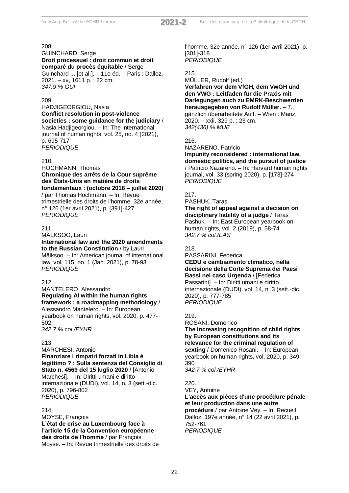GUINCHARD, Serge **Droit processuel : droit commun et droit comparé du procès équitable** / Serge Guinchard ... [et al.]. – 11e éd. – Paris : Dalloz, 2021. – xv, 1611 p. ; 22 cm. *347.9 % GUI*

#### 209.

HADJIGEORGIOU, Nasia **Conflict resolution in post-violence societies : some guidance for the judiciary** / Nasia Hadjigeorgiou. – In: The international journal of human rights, vol. 25, no. 4 (2021), p. 695-717 *PERIODIQUE*

#### 210.

HOCHMANN, Thomas **Chronique des arrêts de la Cour suprême des États-Unis en matière de droits fondamentaux : (octobre 2018 – juillet 2020)** / par Thomas Hochmann. – In: Revue trimestrielle des droits de l'homme, 32e année, n° 126 (1er avril 2021), p. [391]-427 *PERIODIQUE*

#### 211.

MÄLKSOO, Lauri **International law and the 2020 amendments to the Russian Constitution** / by Lauri Mälksoo. – In: American journal of international law, vol. 115, no. 1 (Jan. 2021), p. 78-93 *PERIODIQUE*

#### 212.

MANTELERO, Alessandro **Regulating AI within the human rights framework : a roadmapping methodology** / Alessandro Mantelero. – In: European yearbook on human rights, vol. 2020, p. 477- 502 *342.7 % col./EYHR*

#### 213.

MARCHESI, Antonio **Finanziare i rimpatri forzati in Libia è legittimo ? : Sulla sentenza del Consiglio di Stato n. 4569 del 15 luglio 2020** / [Antonio Marchesi]. – In: Diritti umani e diritto internazionale (DUDI), vol. 14, n. 3 (sett.-dic. 2020), p. 796-802 *PERIODIQUE*

#### 214.

MOYSE, François **L'état de crise au Luxembourg face à l'article 15 de la Convention européenne des droits de l'homme** / par François Moyse. – In: Revue trimestrielle des droits de l'homme, 32e année, n° 126 (1er avril 2021), p. [301]-318 *PERIODIQUE*

#### 215.

MÜLLER, Rudolf (ed.) **Verfahren vor dem VfGH, dem VwGH und den VWG : Leitfaden für die Praxis mit Darlegungen auch zu EMRK-Beschwerden herausgegeben von Rudolf Müller. –** 7., gänzlich überarbeitete Aufl. – Wien : Manz, 2020. – xxii, 329 p. ; 23 cm. *342(436) % MUE*

#### 216.

NAZARENO, Patricio **Impunity reconsidered : international law,** 

**domestic politics, and the pursuit of justice** / Patricio Nazareno. – In: Harvard human rights journal, vol. 33 (spring 2020), p. [173]-274 *PERIODIQUE*

#### 217.

PASHUK, Taras

**The right of appeal against a decision on disciplinary liability of a judge** / Taras Pashuk. – In: East European yearbook on human rights, vol. 2 (2019), p. 58-74 *342.7 % col./EAS*

## 218.

PASSARINI, Federica **CEDU e cambiamento climatico, nella decisione della Corte Suprema dei Paesi Bassi nel caso Urgenda** / [Federica Passarini]. – In: Diritti umani e diritto internazionale (DUDI), vol. 14, n. 3 (sett.-dic. 2020), p. 777-785 *PERIODIQUE*

#### 219.

ROSANI, Domenico

**The increasing recognition of child rights by European constitutions and its relevance for the criminal regulation of sexting** / Domenico Rosani. – In: European yearbook on human rights, vol. 2020, p. 349- 390

*342.7 % col./EYHR*

## 220.

VEY, Antoine

**L'accès aux pièces d'une procédure pénale et leur production dans une autre procédure** / par Antoine Vey. – In: Recueil Dalloz, 197e année, n° 14 (22 avril 2021), p. 752-761

*PERIODIQUE*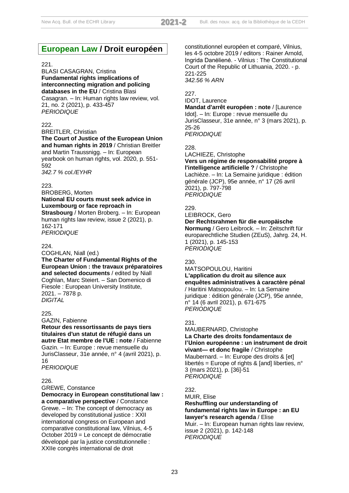## **European Law / Droit européen**

#### $221.$

BLASI CASAGRAN, Cristina **Fundamental rights implications of interconnecting migration and policing databases in the EU** / Cristina Blasi

Casagran. – In: Human rights law review, vol. 21, no. 2 (2021), p. 433-457 *PERIODIQUE*

#### 222.

BREITLER, Christian **The Court of Justice of the European Union and human rights in 2019** / Christian Breitler and Martin Traussnigg. – In: European yearbook on human rights, vol. 2020, p. 551- 592 *342.7 % col./EYHR*

#### 223.

BROBERG, Morten **National EU courts must seek advice in Luxembourg or face reproach in Strasbourg** / Morten Broberg. – In: European human rights law review, issue 2 (2021), p. 162-171

*PERIODIQUE*

#### 224.

COGHLAN, Niall (ed.) **The Charter of Fundamental Rights of the European Union : the travaux préparatoires and selected documents** / edited by Niall Coghlan, Marc Steiert. – San Domenico di Fiesole : European University Institute, 2021. – 7878 p. *DIGITAL*

#### 225.

GAZIN, Fabienne **Retour des ressortissants de pays tiers titulaires d'un statut de réfugié dans un autre Etat membre de l'UE : note** / Fabienne Gazin. – In: Europe : revue mensuelle du JurisClasseur, 31e année, n° 4 (avril 2021), p. 16 *PERIODIQUE*

#### 226.

GREWE, Constance

**Democracy in European constitutional law : a comparative perspective** / Constance Grewe. – In: The concept of democracy as developed by constitutional justice : XXII international congress on European and comparative constitutional law, Vilnius, 4-5 October 2019 = Le concept de démocratie développé par la justice constitutionnelle : XXIIe congrès international de droit

constitutionnel européen et comparé, Vilnius, les 4-5 octobre 2019 / editors : Rainer Arnold, Ingrida Danėlienė. - Vilnius : The Constitutional Court of the Republic of Lithuania, 2020. - p. 221-225 *342.56 % ARN*

#### 227.

## IDOT, Laurence

**Mandat d'arrêt européen : note** / [Laurence Idot]. – In: Europe : revue mensuelle du JurisClasseur, 31e année, n° 3 (mars 2021), p. 25-26 *PERIODIQUE*

#### 228.

LACHIEZE, Christophe

**Vers un régime de responsabilité propre à l'intelligence artificielle ?** / Christophe Lachièze. – In: La Semaine juridique : édition générale (JCP), 95e année, n° 17 (26 avril 2021), p. 797-798 *PERIODIQUE*

#### 229.

LEIBROCK, Gero **Der Rechtsrahmen für die europäische Normung** / Gero Leibrock. – In: Zeitschrift für europarechtliche Studien (ZEuS), Jahrg. 24, H. 1 (2021), p. 145-153

*PERIODIQUE*

#### 230.

MATSOPOULOU, Haritini **L'application du droit au silence aux enquêtes administratives à caractère pénal** / Haritini Matsopoulou. – In: La Semaine juridique : édition générale (JCP), 95e année, n° 14 (6 avril 2021), p. 671-675 *PERIODIQUE*

#### 231.

MAUBERNARD, Christophe **La Charte des droits fondamentaux de l'Union européenne : un instrument de droit vivant— et donc fragile** / Christophe Maubernard. – In: Europe des droits & [et] libertés = Europe of rights & [and] liberties,  $n^{\circ}$ 3 (mars 2021), p. [36]-51 *PERIODIQUE*

#### 232.

MUIR, Elise **Reshuffling our understanding of fundamental rights law in Europe : an EU lawyer's research agenda** / Elise Muir. – In: European human rights law review. issue 2 (2021), p. 142-148 *PERIODIQUE*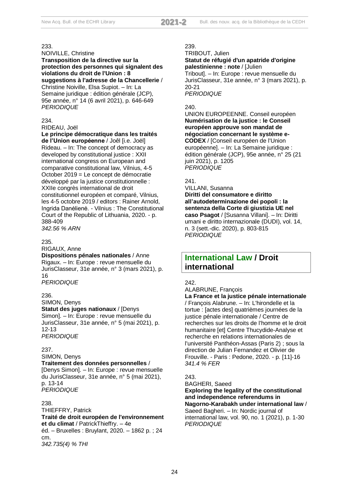NOIVILLE, Christine **Transposition de la directive sur la protection des personnes qui signalent des** 

**violations du droit de l'Union : 8 suggestions à l'adresse de la Chancellerie** / Christine Noiville, Elsa Supiot. – In: La Semaine juridique : édition générale (JCP), 95e année, n° 14 (6 avril 2021), p. 646-649 *PERIODIQUE*

#### 234.

RIDEAU, Joël

**Le principe démocratique dans les traités de l'Union européenne** / Joêl [i.e. Joël]

Rideau. – In: The concept of democracy as developed by constitutional justice : XXII international congress on European and comparative constitutional law, Vilnius, 4-5 October 2019 = Le concept de démocratie développé par la justice constitutionnelle : XXIIe congrès international de droit constitutionnel européen et comparé, Vilnius, les 4-5 octobre 2019 / editors : Rainer Arnold, Ingrida Danėlienė. - Vilnius : The Constitutional Court of the Republic of Lithuania, 2020. - p. 388-409 *342.56 % ARN*

235.

RIGAUX, Anne

**Dispositions pénales nationales** / Anne Rigaux. – In: Europe : revue mensuelle du JurisClasseur, 31e année, n° 3 (mars 2021), p. 16

*PERIODIQUE*

#### 236.

SIMON, Denys

**Statut des juges nationaux** / [Denys

Simon]. – In: Europe : revue mensuelle du JurisClasseur, 31e année, n° 5 (mai 2021), p. 12-13

*PERIODIQUE*

#### 237.

SIMON, Denys

**Traitement des données personnelles** / [Denys Simon]. – In: Europe : revue mensuelle du JurisClasseur, 31e année, n° 5 (mai 2021), p. 13-14 *PERIODIQUE*

#### 238.

THIEFFRY, Patrick **Traité de droit européen de l'environnement et du climat** / PatrickThieffry. – 4e éd. – Bruxelles : Bruylant, 2020. – 1862 p. ; 24 cm. *342.735(4) % THI*

#### 239.

TRIBOUT, Julien **Statut de réfugié d'un apatride d'origine palestinienne : note** / [Julien Tribout]. – In: Europe : revue mensuelle du JurisClasseur, 31e année, n° 3 (mars 2021), p. 20-21

*PERIODIQUE*

#### $240.$

UNION EUROPEENNE. Conseil européen **Numérisation de la justice : le Conseil européen approuve son mandat de négociation concernant le système e-CODEX** / [Conseil européen de l'Union européenne]. – In: La Semaine juridique : édition générale (JCP), 95e année, n° 25 (21 juin 2021), p. 1205 *PERIODIQUE*

#### 241.

VILLANI, Susanna **Diritti del consumatore e diritto all'autodeterminazione dei popoli : la sentenza della Corte di giustizia UE nel caso Psagot** / [Susanna Villani]. – In: Diritti umani e diritto internazionale (DUDI), vol. 14, n. 3 (sett.-dic. 2020), p. 803-815 *PERIODIQUE*

## **International Law / Droit international**

#### 242.

ALABRUNE, François

**La France et la justice pénale internationale** / François Alabrune. – In: L'hirondelle et la tortue : [actes des] quatrièmes journées de la justice pénale internationale / Centre de recherches sur les droits de l'homme et le droit humanitaire [et] Centre Thucydide-Analyse et recherche en relations internationales de l'université Panthéon-Assas (Paris 2) ; sous la direction de Julian Fernandez et Olivier de Frouville. - Paris : Pedone, 2020. - p. [11]-16 *341.4 % FER*

#### 243.

BAGHERI, Saeed

**Exploring the legality of the constitutional and independence referendums in Nagorno-Karabakh under international law** / Saeed Bagheri. – In: Nordic journal of international law, vol. 90, no. 1 (2021), p. 1-30 *PERIODIQUE*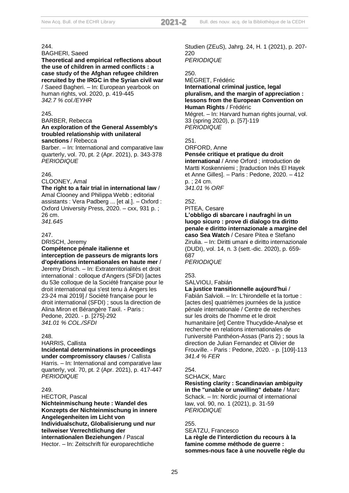#### BAGHERI, Saeed

**Theoretical and empirical reflections about the use of children in armed conflicts : a case study of the Afghan refugee children recruited by the IRGC in the Syrian civil war** / Saeed Bagheri. – In: European yearbook on human rights, vol. 2020, p. 419-445 *342.7 % col./EYHR*

#### 245.

BARBER, Rebecca

#### **An exploration of the General Assembly's troubled relationship with unilateral sanctions** / Rebecca

Barber. – In: International and comparative law quarterly, vol. 70, pt. 2 (Apr. 2021), p. 343-378 *PERIODIQUE*

#### 246.

CLOONEY, Amal

**The right to a fair trial in international law** / Amal Clooney and Philippa Webb ; editorial assistants : Vera Padberg ... [et al.]. – Oxford : Oxford University Press, 2020. – cxx, 931 p. ; 26 cm. *341.645*

#### 247.

DRISCH, Jeremy **Compétence pénale italienne et interception de passeurs de migrants lors d'opérations internationales en haute mer** / Jeremy Drisch. – In: Extraterritorialités et droit international : colloque d'Angers (SFDI) [actes du 53e colloque de la Société française pour le droit international qui s'est tenu à Angers les 23-24 mai 2019] / Société française pour le droit international (SFDI) ; sous la direction de Alina Miron et Bérangère Taxil. - Paris : Pedone, 2020. - p. [275]-292 *341.01 % COL./SFDI*

#### $248$

HARRIS, Callista

#### **Incidental determinations in proceedings**

**under compromissory clauses** / Callista Harris. – In: International and comparative law quarterly, vol. 70, pt. 2 (Apr. 2021), p. 417-447 *PERIODIQUE*

#### 249.

HECTOR, Pascal

**Nichteinmischung heute : Wandel des Konzepts der Nichteinmischung in innere Angelegenheiten im Licht von Individualschutz, Globalisierung und nur teilweiser Verrechtlichung der internationalen Beziehungen** / Pascal Hector. – In: Zeitschrift für europarechtliche

Studien (ZEuS), Jahrg. 24, H. 1 (2021), p. 207- 220 *PERIODIQUE*

#### 250.

MÉGRET, Frédéric **International criminal justice, legal pluralism, and the margin of appreciation : lessons from the European Convention on Human Rights** / Frédéric

Mégret. – In: Harvard human rights journal, vol. 33 (spring 2020), p. [57]-119 *PERIODIQUE*

251.

ORFORD, Anne

#### **Pensée critique et pratique du droit**

**international** / Anne Orford ; introduction de Martti Koskenniemi ; [traduction Inès El Hayek et Anne Gilles]. – Paris : Pedone, 2020. – 412 p. ; 24 cm. *341.01 % ORF*

252.

PITEA, Cesare

**L'obbligo di sbarcare i naufraghi in un luogo sicuro : prove di dialogo tra diritto penale e diritto internazionale a margine del caso Sea Watch** / Cesare Pitea e Stefano Zirulia. – In: Diritti umani e diritto internazionale (DUDI), vol. 14, n. 3 (sett.-dic. 2020), p. 659- 687

*PERIODIQUE*

253.

SALVIOLI, Fabián

#### **La justice transitionnelle aujourd'hui** /

Fabián Salvioli. – In: L'hirondelle et la tortue : [actes des] quatrièmes journées de la justice pénale internationale / Centre de recherches sur les droits de l'homme et le droit humanitaire [et] Centre Thucydide-Analyse et recherche en relations internationales de l'université Panthéon-Assas (Paris 2) ; sous la direction de Julian Fernandez et Olivier de Frouville. - Paris : Pedone, 2020. - p. [109]-113 *341.4 % FER*

#### 254.

SCHACK, Marc

**Resisting clarity : Scandinavian ambiguity in the "unable or unwilling" debate** / Marc Schack. – In: Nordic journal of international law, vol. 90, no. 1 (2021), p. 31-59 *PERIODIQUE*

255.

SEATZU, Francesco

**La règle de l'interdiction du recours à la famine comme méthode de guerre : sommes-nous face à une nouvelle règle du**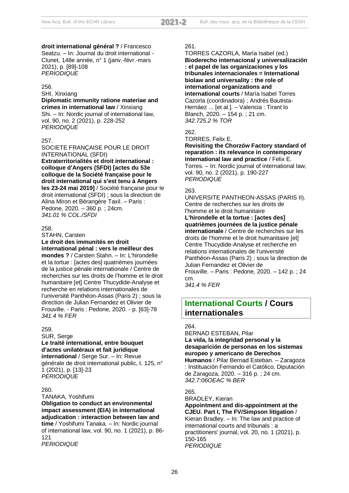**droit international général ?** / Francesco Seatzu. – In: Journal du droit international - Clunet, 148e année, n° 1 (janv.-févr.-mars 2021), p. [89]-108 *PERIODIQUE*

#### 256.

SHI, Xinxiang

**Diplomatic immunity ratione materiae and crimes in international law** / Xinxiang Shi. – In: Nordic journal of international law, vol. 90, no. 2 (2021), p. 228-252 *PERIODIQUE*

#### 257.

SOCIETE FRANÇAISE POUR LE DROIT INTERNATIONAL (SFDI)

**Extraterritorialités et droit international : colloque d'Angers (SFDI) [actes du 53e colloque de la Société française pour le droit international qui s'est tenu à Angers les 23-24 mai 2019]** / Société française pour le droit international (SFDI) ; sous la direction de Alina Miron et Bérangère Taxil. – Paris : Pedone, 2020. – 360 p. ; 24cm. *341.01 % COL./SFDI*

#### 258.

STAHN, Carsten **Le droit des immunités en droit international pénal : vers le meilleur des mondes ?** / Carsten Stahn. – In: L'hirondelle et la tortue : [actes des] quatrièmes journées de la justice pénale internationale / Centre de recherches sur les droits de l'homme et le droit humanitaire [et] Centre Thucydide-Analyse et recherche en relations internationales de l'université Panthéon-Assas (Paris 2) ; sous la direction de Julian Fernandez et Olivier de Frouville. - Paris : Pedone, 2020. - p. [63]-78 *341.4 % FER*

#### 259.

SUR, Serge

#### **Le traité international, entre bouquet d'actes unilatéraux et fait juridique**

**international** / Serge Sur. – In: Revue générale de droit international public, t. 125, n° 1 (2021), p. [13]-23 *PERIODIQUE*

#### 260.

TANAKA, Yoshifumi

**Obligation to conduct an environmental impact assessment (EIA) in international adjudication : interaction between law and time** / Yoshifumi Tanaka. – In: Nordic journal of international law, vol. 90, no. 1 (2021), p. 86- 121 *PERIODIQUE*

#### 261.

TORRES CAZORLA, María Isabel (ed.) **Bioderecho internacional y universalización : el papel de las organizaciones y los tribunales internacionales = International biolaw and universality : the role of international organizations and international courts** / María Isabel Torres Cazorla (coordinadora) ; Andrés Bautista-Hernáez ... [et al.]. – Valencia : Tirant lo Blanch, 2020. – 154 p. ; 21 cm. *342.725.2 % TOR*

#### 262.

TORRES, Felix E.

**Revisiting the Chorzów Factory standard of reparation : its relevance in contemporary international law and practice** / Felix E. Torres. – In: Nordic journal of international law, vol. 90, no. 2 (2021), p. 190-227 *PERIODIQUE*

#### 263.

UNIVERSITE PANTHEON-ASSAS (PARIS II). Centre de recherches sur les droits de l'homme et le droit humanitaire **L'hirondelle et la tortue : [actes des] quatrièmes journées de la justice pénale internationale** / Centre de recherches sur les droits de l'homme et le droit humanitaire [et] Centre Thucydide-Analyse et recherche en relations internationales de l'université Panthéon-Assas (Paris 2) ; sous la direction de Julian Fernandez et Olivier de Frouville. – Paris : Pedone, 2020. – 142 p. ; 24 cm.

*341.4 % FER*

## **International Courts / Cours internationales**

#### 264.

BERNAD ESTEBAN, Pilar **La vida, la integridad personal y la desaparición de personas en los sistemas europeo y americano de Derechos** 

**Humanos** / Pilar Bernad Esteban. – Zaragoza : Instituación Fernando el Católico, Diputación de Zaragoza, 2020. – 316 p. ; 24 cm. *342.7:06OEAC % BER*

#### 265.

BRADLEY, Kieran **Appointment and dis-appointment at the CJEU. Part I, The FV/Simpson litigation** / Kieran Bradley. – In: The law and practice of international courts and tribunals : a practitioners' journal, vol. 20, no. 1 (2021), p. 150-165 *PERIODIQUE*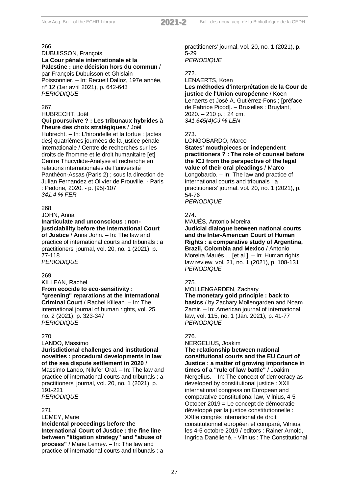DUBUISSON, François **La Cour pénale internationale et la Palestine : une décision hors du commun** / par François Dubuisson et Ghislain Poissonnier. – In: Recueil Dalloz, 197e année, n° 12 (1er avril 2021), p. 642-643 *PERIODIQUE*

#### 267.

HUBRECHT, Joël

#### **Qui poursuivre ? : Les tribunaux hybrides à l'heure des choix stratégiques** / Joël

Hubrecht. – In: L'hirondelle et la tortue : [actes des] quatrièmes journées de la justice pénale internationale / Centre de recherches sur les droits de l'homme et le droit humanitaire [et] Centre Thucydide-Analyse et recherche en relations internationales de l'université Panthéon-Assas (Paris 2) ; sous la direction de Julian Fernandez et Olivier de Frouville. - Paris : Pedone, 2020. - p. [95]-107 *341.4 % FER*

#### 268.

JOHN, Anna

#### **Inarticulate and unconscious : nonjusticiability before the International Court**

**of Justice** / Anna John. – In: The law and practice of international courts and tribunals : a practitioners' journal, vol. 20, no. 1 (2021), p. 77-118 *PERIODIQUE*

#### 269.

KILLEAN, Rachel

**From ecocide to eco-sensitivity : "greening" reparations at the International Criminal Court** / Rachel Killean. – In: The international journal of human rights, vol. 25, no. 2 (2021), p. 323-347 *PERIODIQUE*

#### 270.

LANDO, Massimo

#### **Jurisdictional challenges and institutional novelties : procedural developments in law of the sea dispute settlement in 2020** /

Massimo Lando, Nilüfer Oral. – In: The law and practice of international courts and tribunals : a practitioners' journal, vol. 20, no. 1 (2021), p. 191-221 *PERIODIQUE*

#### 271.

LEMEY, Marie

**Incidental proceedings before the International Court of Justice : the fine line between "litigation strategy" and "abuse of process"** / Marie Lemey. – In: The law and practice of international courts and tribunals : a practitioners' journal, vol. 20, no. 1 (2021), p. 5-29 *PERIODIQUE*

#### 272.

#### LENAERTS, Koen **Les méthodes d'interprétation de la Cour de justice de l'Union européenne** / Koen Lenaerts et José A. Gutiérrez-Fons ; [préface de Fabrice Picod]. – Bruxelles : Bruylant, 2020. – 210 p. ; 24 cm. *341.645(4)CJ % LEN*

#### 273.

LONGOBARDO, Marco

**States' mouthpieces or independent practitioners ? : The role of counsel before the ICJ from the perspective of the legal value of their oral pleadings** / Marco Longobardo. – In: The law and practice of international courts and tribunals : a practitioners' journal, vol. 20, no. 1 (2021), p. 54-76 *PERIODIQUE*

#### 274.

MAUÉS, Antonio Moreira **Judicial dialogue between national courts and the Inter-American Court of Human Rights : a comparative study of Argentina, Brazil, Colombia and Mexico** / Antonio Moreira Maués ... [et al.]. – In: Human rights law review, vol. 21, no. 1 (2021), p. 108-131 *PERIODIQUE*

#### 275.

MOLLENGARDEN, Zachary **The monetary gold principle : back to basics** / by Zachary Mollengarden and Noam Zamir. – In: American journal of international law, vol. 115, no. 1 (Jan. 2021), p. 41-77 *PERIODIQUE*

#### 276.

NERGELIUS, Joakim

**The relationship between national constitutional courts and the EU Court of Justice : a matter of growing importance in times of a "rule of law battle"** / Joakim Nergelius. – In: The concept of democracy as developed by constitutional justice : XXII international congress on European and comparative constitutional law, Vilnius, 4-5 October 2019 = Le concept de démocratie développé par la justice constitutionnelle : XXIIe congrès international de droit constitutionnel européen et comparé, Vilnius, les 4-5 octobre 2019 / editors : Rainer Arnold, Ingrida Danėlienė. - Vilnius : The Constitutional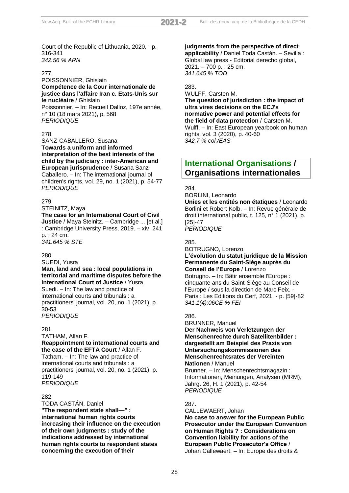Court of the Republic of Lithuania, 2020. - p. 316-341 *342.56 % ARN*

#### 277.

#### POISSONNIER, Ghislain **Compétence de la Cour internationale de justice dans l'affaire Iran c. Etats-Unis sur le nucléaire** / Ghislain

Poissonnier. – In: Recueil Dalloz, 197e année, n° 10 (18 mars 2021), p. 568 *PERIODIQUE*

#### 278.

SANZ-CABALLERO, Susana **Towards a uniform and informed interpretation of the best interests of the child by the judiciary : inter-American and European jurisprudence** / Susana Sanz-Caballero. – In: The international journal of children's rights, vol. 29, no. 1 (2021), p. 54-77 *PERIODIQUE*

#### 279.

#### STEINITZ, Maya

**The case for an International Court of Civil Justice** / Maya Steinitz. – Cambridge ... [et al.] : Cambridge University Press, 2019. – xiv, 241 p. ; 24 cm. *341.645 % STE*

#### 280.

SUEDI, Yusra

## **Man, land and sea : local populations in territorial and maritime disputes before the International Court of Justice** / Yusra

Suedi. – In: The law and practice of international courts and tribunals : a practitioners' journal, vol. 20, no. 1 (2021), p. 30-53 *PERIODIQUE*

## 281. TATHAM, Allan F. **Reappointment to international courts and**

**the case of the EFTA Court** / Allan F. Tatham. – In: The law and practice of international courts and tribunals : a practitioners' journal, vol. 20, no. 1 (2021), p. 119-149 *PERIODIQUE*

#### 282.

TODA CASTÁN, Daniel **"The respondent state shall—" : international human rights courts increasing their influence on the execution of their own judgments : study of the indications addressed by international human rights courts to respondent states concerning the execution of their** 

**judgments from the perspective of direct applicability** / Daniel Toda Castán. – Sevilla : Global law press - Editorial derecho global, 2021. – 700 p. ; 25 cm. *341.645 % TOD*

## 283.

WULFF, Carsten M. **The question of jurisdiction : the impact of ultra vires decisions on the ECJ's normative power and potential effects for the field of data protection** / Carsten M. Wulff. – In: East European yearbook on human rights, vol. 3 (2020), p. 40-60 *342.7 % col./EAS*

## **International Organisations / Organisations internationales**

284.

#### BORLINI, Leonardo

**Unies et les entités non étatiques** / Leonardo Borlini et Robert Kolb. – In: Revue générale de droit international public, t. 125, n° 1 (2021), p. [25]-47 *PERIODIQUE*

285.

#### BOTRUGNO, Lorenzo

#### **L'évolution du statut juridique de la Mission Permanente du Saint-Siège auprès du Conseil de l'Europe** / Lorenzo

Botrugno. – In: Bâtir ensemble l'Europe : cinquante ans du Saint-Siège au Conseil de l'Europe / sous la direction de Marc Feix. - Paris : Les Editions du Cerf, 2021. - p. [59]-82 *341.1(4):06CE % FEI*

#### 286.

#### BRUNNER, Manuel **Der Nachweis von Verletzungen der Menschenrechte durch Satellitenbilder : dargestellt am Beispiel des Praxis von Untersuchungskommissionen des Menschenrechtsrates der Vereinten Nationen** / Manuel Brunner. – In: Menschenrechtsmagazin : Informationen, Meinungen, Analysen (MRM), Jahrg. 26, H. 1 (2021), p. 42-54

287.

#### CALLEWAERT, Johan

*PERIODIQUE*

**No case to answer for the European Public Prosecutor under the European Convention on Human Rights ? : Considerations on Convention liability for actions of the European Public Prosecutor's Office** / Johan Callewaert. – In: Europe des droits &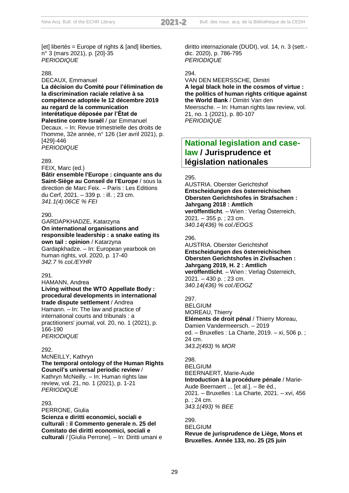[et] libertés = Europe of rights & [and] liberties, n° 3 (mars 2021), p. [20]-35 *PERIODIQUE*

#### 288.

DECAUX, Emmanuel **La décision du Comité pour l'élimination de la discrimination raciale relative à sa compétence adoptée le 12 décembre 2019 au regard de la communication interétatique déposée par l'État de Palestine contre Israël** / par Emmanuel Decaux. – In: Revue trimestrielle des droits de l'homme, 32e année, n° 126 (1er avril 2021), p. [429]-446 *PERIODIQUE*

#### 289.

FEIX, Marc (ed.)

**Bâtir ensemble l'Europe : cinquante ans du Saint-Siège au Conseil de l'Europe** / sous la direction de Marc Feix. – Paris : Les Editions du Cerf, 2021. – 339 p. : ill. ; 23 cm. *341.1(4):06CE % FEI*

#### 290.

GARDAPKHADZE, Katarzyna **On international organisations and responsible leadership : a snake eating its own tail : opinion** / Katarzyna Gardapkhadze. – In: European yearbook on human rights, vol. 2020, p. 17-40 *342.7 % col./EYHR*

#### $201$

HAMANN, Andrea **Living without the WTO Appellate Body : procedural developments in international trade dispute settlement** / Andrea Hamann. – In: The law and practice of international courts and tribunals : a practitioners' journal, vol. 20, no. 1 (2021), p. 166-190

*PERIODIQUE*

#### 292.

McNEILLY, Kathryn **The temporal ontology of the Human Rights Council's universal periodic review** / Kathryn McNeilly. – In: Human rights law review, vol. 21, no. 1 (2021), p. 1-21 *PERIODIQUE*

#### 293.

PERRONE, Giulia **Scienza e diritti economici, sociali e culturali : il Commento generale n. 25 del Comitato dei diritti economici, sociali e culturali** / [Giulia Perrone]. – In: Diritti umani e diritto internazionale (DUDI), vol. 14, n. 3 (sett. dic. 2020), p. 786-795 *PERIODIQUE*

#### 294.

VAN DEN MEERSSCHE, Dimitri **A legal black hole in the cosmos of virtue : the politics of human rights critique against the World Bank** / Dimitri Van den Meerssche. – In: Human rights law review, vol.

21, no. 1 (2021), p. 80-107 *PERIODIQUE*

## **National legislation and caselaw / Jurisprudence et législation nationales**

#### 295.

AUSTRIA. Oberster Gerichtshof **Entscheidungen des österreichischen Obersten Gerichtshofes in Strafsachen : Jahrgang 2018 : Amtlich veröffentlicht**. – Wien : Verlag Österreich, 2021. – 355 p. ; 23 cm. *340.14(436) % col./EOGS*

#### 296.

AUSTRIA. Oberster Gerichtshof **Entscheidungen des österreichischen Obersten Gerichtshofes in Zivilsachen : Jahrgang 2019, H. 2 : Amtlich veröffentlicht**. – Wien : Verlag Österreich, 2021. – 430 p. ; 23 cm. *340.14(436) % col./EOGZ*

#### 297.

BELGIUM MOREAU, Thierry **Eléments de droit pénal** / Thierry Moreau, Damien Vandermeersch. – 2019 ed. – Bruxelles : La Charte, 2019. – xi, 506 p. ; 24 cm. *343.2(493) % MOR*

298. BELGIUM BEERNAERT, Marie-Aude **Introduction à la procédure pénale** / Marie-Aude Beernaert ... [et al.]. – 8e éd., 2021. – Bruxelles : La Charte, 2021. – xvi, 456 p. ; 24 cm. *343.1(493) % BEE*

299. BELGIUM **Revue de jurisprudence de Liège, Mons et Bruxelles. Année 133, no. 25 (25 juin**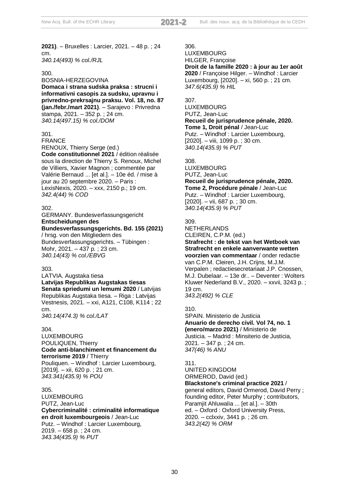**2021)**. – Bruxelles : Larcier, 2021. – 48 p. ; 24 cm. *340.14(493) % col./RJL*

#### 300.

BOSNIA-HERZEGOVINA **Domaca i strana sudska praksa : strucni i informativni casopis za sudsku, upravnu i privredno-prekrsajnu praksu. Vol. 18, no. 87 (jan./febr./mart 2021)**. – Sarajevo : Privredna stampa, 2021. – 352 p. ; 24 cm. *340.14(497.15) % col./DOM*

#### 301.

FRANCE RENOUX, Thierry Serge (ed.)

**Code constitutionnel 2021** / édition réalisée sous la direction de Thierry S. Renoux, Michel de Villiers, Xavier Magnon ; commentée par Valérie Bernaud ... [et al.]. – 10e éd. / mise à jour au 20 septembre 2020. – Paris : LexisNexis, 2020. – xxx, 2150 p.; 19 cm. *342.4(44) % COD*

#### 302.

GERMANY. Bundesverfassungsgericht **Entscheidungen des** 

#### **Bundesverfassungsgerichts. Bd. 155 (2021)** / hrsg. von den Mitgliedern des

Bundesverfassungsgerichts. – Tübingen : Mohr, 2021. – 437 p. ; 23 cm. *340.14(43) % col./EBVG*

#### 303.

#### LATVIA. Augstaka tiesa **Latvijas Republikas Augstakas tiesas Senata spriedumi un lemumi 2020** / Latvijas Republikas Augstaka tiesa. – Riga : Latvijas Vestnesis, 2021. – xxi, A121, C108, K114 ; 22 cm. *340.14(474.3) % col./LAT*

#### 304.

LUXEMBOURG POULIQUEN, Thierry **Code anti-blanchiment et financement du terrorisme 2019** / Thierry Pouliquen. – Windhof : Larcier Luxembourg,

[2019]. – xii, 620 p. ; 21 cm. *343.341(435.9) % POU*

#### 305.

LUXEMBOURG PUTZ, Jean-Luc **Cybercriminalité : criminalité informatique en droit luxembourgeois** / Jean-Luc Putz. – Windhof : Larcier Luxembourg, 2019. – 658 p. ; 24 cm. *343.34(435.9) % PUT*

306.

LUXEMBOURG HILGER, Françoise **Droit de la famille 2020 : à jour au 1er août 2020** / Françoise Hilger. – Windhof : Larcier Luxembourg, [2020]. – xi, 560 p. ; 21 cm. *347.6(435.9) % HIL*

#### 307.

**LUXEMBOURG** PUTZ, Jean-Luc **Recueil de jurisprudence pénale, 2020. Tome 1, Droit pénal** / Jean-Luc Putz. – Windhof : Larcier Luxembourg, [2020]. – viii, 1099 p. ; 30 cm. *340.14(435.9) % PUT*

#### 308.

LUXEMBOURG PUTZ, Jean-Luc **Recueil de jurisprudence pénale, 2020. Tome 2, Procédure pénale** / Jean-Luc Putz. – Windhof : Larcier Luxembourg,  $[2020]$ . – vii, 687 p.; 30 cm. *340.14(435.9) % PUT*

#### 309.

**NETHERLANDS** CLEIREN, C.P.M. (ed.) **Strafrecht : de tekst van het Wetboek van Strafrecht en enkele aanverwante wetten voorzien van commentaar** / onder redactie van C.P.M. Cleiren, J.H. Crijns, M.J.M. Verpalen ; redactiesecretariaat J.P. Cnossen, M.J. Dubelaar. – 13e dr.. – Deventer : Wolters Kluwer Nederland B.V., 2020. – xxvii, 3243 p. ; 19 cm. *343.2(492) % CLE*

#### 310.

SPAIN. Ministerio de Justicia **Anuario de derecho civil. Vol 74, no. 1 (enero/marzo 2021)** / Ministerio de Justicia. – Madrid : Minsiterio de Justicia, 2021. – 347 p. ; 24 cm. *347(46) % ANU*

#### 311.

UNITED KINGDOM ORMEROD, David (ed.) **Blackstone's criminal practice 2021** / general editors, David Ormerod, David Perry ; founding editor, Peter Murphy ; contributors, Paramjit Ahluwalia ... [et al.]. – 30th ed. – Oxford : Oxford University Press, 2020. – cclxxiv, 3441 p. ; 26 cm. *343.2(42) % ORM*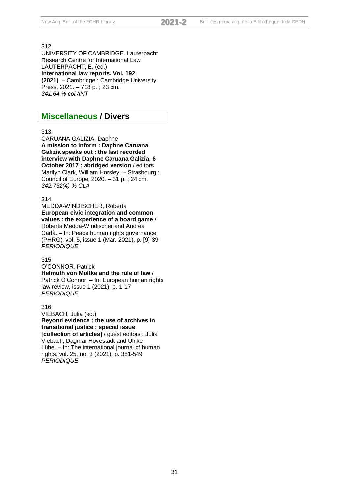UNIVERSITY OF CAMBRIDGE. Lauterpacht Research Centre for International Law LAUTERPACHT, E. (ed.) **International law reports. Vol. 192 (2021)**. – Cambridge : Cambridge University Press, 2021. – 718 p. ; 23 cm. *341.64 % col./INT*

## **Miscellaneous / Divers**

#### 313.

CARUANA GALIZIA, Daphne **A mission to inform : Daphne Caruana Galizia speaks out : the last recorded interview with Daphne Caruana Galizia, 6 October 2017 : abridged version** / editors Marilyn Clark, William Horsley. – Strasbourg : Council of Europe, 2020. – 31 p. ; 24 cm. *342.732(4) % CLA*

#### 314.

MEDDA-WINDISCHER, Roberta **European civic integration and common values : the experience of a board game** / Roberta Medda-Windischer and Andrea Carlà. – In: Peace human rights governance (PHRG), vol. 5, issue 1 (Mar. 2021), p. [9]-39 *PERIODIQUE*

#### 315.

O'CONNOR, Patrick **Helmuth von Moltke and the rule of law** / Patrick O'Connor. – In: European human rights law review, issue 1 (2021), p. 1-17 *PERIODIQUE*

#### 316.

VIEBACH, Julia (ed.) **Beyond evidence : the use of archives in transitional justice : special issue [collection of articles]** / guest editors : Julia Viebach, Dagmar Hovestädt and Ulrike Lühe. – In: The international journal of human rights, vol. 25, no. 3 (2021), p. 381-549 *PERIODIQUE*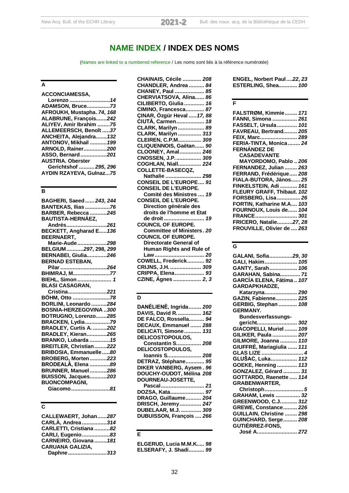**NAME INDEX / INDEX DES NOMS**

(Names are linked to a numbered reference / Les noms sont liés à la référence numérotée)

## **A**

| <b>ACCONCIAMESSA.</b>          |  |
|--------------------------------|--|
| Lorenzo 14                     |  |
| <b>ADAMSON, Bruce73</b>        |  |
| AFROUKH, Mustapha. 74, 168     |  |
| ALABRUNE, François242          |  |
| ALIYEV, Amir Ibrahim 75        |  |
| ALLEMEERSCH, Benoît 37         |  |
| ANCHEITA, Alejandra 132        |  |
| ANTONOV, Mikhail  199          |  |
| ARNOLD, Rainer200              |  |
| ASSO, Bernard201               |  |
| <b>AUSTRIA. Oberster</b>       |  |
| Gerichtshof  295, 296          |  |
| <b>AYDIN RZAYEVA, Gulnaz75</b> |  |
|                                |  |

## **B**

| BAGHERI, Saeed  243, 244      |  |
|-------------------------------|--|
| BANTEKAS, Ilias 76            |  |
| BARBER, Rebecca 245           |  |
| <b>BAUTISTA-HERNÁEZ,</b>      |  |
| Andrés261                     |  |
| BECKETT, Angharad E 136       |  |
| BEERNAERT,                    |  |
| Marie-Aude298                 |  |
| BELGIUM297, 298, 299          |  |
| <b>BERNABEI, Giulia246</b>    |  |
| <b>BERNAD ESTEBAN,</b>        |  |
| Pilar 264                     |  |
| BHIMRAJ, M77                  |  |
| BIEHL, Simon  1               |  |
| <b>BLASI CASAGRAN,</b>        |  |
| Cristina221                   |  |
| BÖHM, Otto 78                 |  |
| BORLINI, Leonardo 284         |  |
| BOSNIA-HERZEGOVINA300         |  |
| BOTRUGNO, Lorenzo285          |  |
| BRACKEN, Lydia79              |  |
| <b>BRADLEY, Curtis A. 202</b> |  |
| <b>BRADLEY, Kieran265</b>     |  |
| <b>BRANKO, Lubarda  15</b>    |  |
| BREITLER, Christian222        |  |
| BRIBOSIA, Emmanuelle80        |  |
| <b>BROBERG, Morten223</b>     |  |
| BRODEALĂ, Elena 89            |  |
| <b>BRUNNER, Manuel 286</b>    |  |
| <b>BUISSON, Jacques203</b>    |  |
| <b>BUONCOMPAGNI,</b>          |  |
| R <sub>1</sub><br>Giacomo     |  |

**Giacomo.........................***81*

#### **C**

| CALLEWAERT, Johan287    |  |
|-------------------------|--|
| CARLÀ, Andrea 314       |  |
| CARLETTI, Cristiana 82  |  |
| CARLI, Eugenio83        |  |
| CARNEIRO, Giovana  181  |  |
| <b>CARUANA GALIZIA.</b> |  |
| Daphne313               |  |

| <b>CHAINAIS, Cécile  208</b>      |
|-----------------------------------|
| CHANDLER, Andrea  84              |
| CHANEY, Paul  85                  |
| CHERVIATSOVA, Alina 86            |
| CILIBERTO, Giulia  16             |
| CIMINO, Francesca 87              |
| CINAR, Özgür Heval  17, 88        |
| CIUTĂ, Carmen 18                  |
| CLARK, Marilyn  89                |
| CLARK, Marilyn  313               |
| CLEIREN, C.P.M 309                |
| CLIQUENNOIS, Gaëtan 90            |
| CLOONEY, Amal 246                 |
| CNOSSEN, J.P.  309                |
| <b>COGHLAN, Niall 224</b>         |
| COLLETTE-BASECQZ,                 |
| Nathalie  298                     |
| <b>CONSEIL DE L'EUROPE 91</b>     |
| <b>CONSEIL DE L'EUROPE.</b>       |
| Comité des Ministres  19          |
| <b>CONSEIL DE L'EUROPE.</b>       |
| Direction générale des            |
| droits de l'homme et Etat         |
| de droit  19                      |
| <b>COUNCIL OF EUROPE.</b>         |
| <b>Committee of Ministers, 20</b> |
| <b>COUNCIL OF EUROPE.</b>         |
| Directorate General of            |
| Human Rights and Rule of          |
| Law 20                            |
| COWELL, Frederick 92              |
| CRIJNS, J.H.  309                 |
| CRIPPA, Elena 93                  |
| CZINE, Ágnes  2, 3                |

#### **D**

| DANĖLIENĖ, Ingrida  200  |
|--------------------------|
| DAVIS, David R 162       |
| DE FALCO, Rossella 94    |
| DECAUX, Emmanuel  288    |
| DELICATI, Simone 131     |
| <b>DELICOSTOPOULOS,</b>  |
| Constantin S 208         |
| <b>DELICOSTOPOULOS,</b>  |
| Ioannis S 208            |
| DETRAZ, Stéphane 95      |
| DIKER VANBERG, Aysem. 96 |
| DOUCHY-OUDOT, Mélina 208 |
| DOURNEAU-JOSETTE,        |
| Pascal 21                |
| DOZSA, Kata 97           |
| DRAGO, Guillaume 204     |
| DRISCH, Jeremy 247       |
| DUBELAAR, M.J.  309      |
| DUBUISSON, François  266 |
|                          |
|                          |
|                          |

#### **E**

**ELGERUD, Lucia M.M.K.....** *98* **ELSERAFY, J. Shadi..........** *99* **ENGEL, Norbert Paul....***22***,** *23* **ESTERLING, Shea............** *100*

## **F**

| FALSTRØM, Kimmie 171       |
|----------------------------|
| FANNI, Simona  261         |
| FASSELT, Ursula 101        |
| FAVREAU, Bertrand 205      |
| FEIX, Marc 289             |
| FERIA-TINTA, Monica 24     |
| FERNÁNDEZ DE               |
| <b>CASADEVANTE</b>         |
| MAYORDOMO, Pablo  206      |
| FERNANDEZ, Julian  263     |
| FERRAND, Frédérique 208    |
| FIALA-BUTORA, János 25     |
| FINKELSTEIN, Adi  161      |
| FLEURY GRAFF, Thibaut. 102 |
| FORSBERG, Lisa 26          |
| FORTIN, Katharine M.A 103  |
| FOURNOUX, Louis de 104     |
| FRANCE 301                 |
| FRICERO, Natalie27, 28     |
| FROUVILLE, Olivier de  263 |

## **G**

| GALANI, Sofia29, 30                    |  |
|----------------------------------------|--|
|                                        |  |
| GALI, Hakim 105                        |  |
| GANTY, Sarah 106                       |  |
| GARAHAN, Sabina 71                     |  |
| GARCÍA ELENA, Fátima  107              |  |
| <b>GARDAPKHADZE,</b>                   |  |
| Katarzyna 290                          |  |
| GAZIN, Fabienne 225                    |  |
| GERBIG, Stephan  108                   |  |
| <b>GERMANY.</b>                        |  |
| <b>Bundesverfassungs-</b>              |  |
| aericht 302                            |  |
| GIACOPELLI, Muriel  109                |  |
| GILIKER, Paula  207                    |  |
| GILMORE, Joanna  110                   |  |
| GIUFFRÉ, Mariagiulia  111              |  |
| GLAS LIZE  4                           |  |
| GLUŠAC, Luka <i>112</i>                |  |
| GOEKE, Henning  113                    |  |
| GONZALEZ, Gérard  31                   |  |
| GOTTARDO, Raenette  114                |  |
| <b>GRABENWARTER,</b>                   |  |
| Christoph 5                            |  |
| GRAHAM, Lewis  32                      |  |
| GREENWOOD, C.J 312                     |  |
| GREWE, Constance 226                   |  |
| GUILLAIN, Christine  298               |  |
| GUINCHARD, Serge 208                   |  |
| <b>GUTIÉRREZ-FONS,</b><br>José A.  272 |  |
|                                        |  |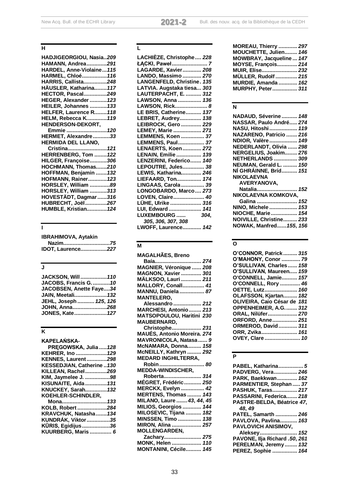## **H**

| HADJIGEORGIOU, Nasia209      |
|------------------------------|
| HAMANN, Andrea291            |
| HARDEL, Anne-Violaine 115    |
| HARMEL, Chloé116             |
| HARRIS, Callista248          |
| HÄUSLER, Katharina 117       |
| HECTOR, Pascal249            |
| HEGER, Alexander  123        |
| <b>HEILER, Johannes  133</b> |
| HELFER, Laurence R118        |
| <b>HELM, Rebecca K119</b>    |
| HENDERSON-DEKORT,            |
| Emmie  120                   |
| HERMET, Alexandre33          |
| HERMIDA DEL LLANO,           |
| Cristina 121                 |
| HERRENBERG, Tom  122         |
| HILGER, Françoise306         |
| HOCHMANN, Thomas210          |
| HOFFMAN, Benjamin  132       |
| <b>HOFMANN, Rainer 123</b>   |
| HORSLEY, William 89          |
| HORSLEY, William 313         |
| HOVESTÄDT, Dagmar 316        |
| HUBRECHT, Joël267            |
| HUMBLE, Kristian 124         |
|                              |

## **I**

| <b>IBRAHIMOVA, Aytakin</b> |  |
|----------------------------|--|
| Nazim75                    |  |
| <b>IDOT, Laurence227</b>   |  |

## **J**

| <b>JACKSON, Will  110</b> |  |
|---------------------------|--|
| JACOBS, Francis G. 10     |  |
| JACOBSEN, Anette Faye34   |  |
| JAIN, Meetali 132         |  |
| JEHL, Joseph  125, 126    |  |
| JOHN, Anna268             |  |
| JONES, Kate 127           |  |

## **K**

## **L**

| LACHIÈZE, Christophe 228   |
|----------------------------|
| ŁACKI, Paweł 7             |
| LAGARDE, Xavier 208        |
| LANDO, Massimo  270        |
| LANGENFELD, Christine. 135 |
| LATVIA. Augstaka tiesa 303 |
| LAUTERPACHT, E.  312       |
| LAWSON, Anna  136          |
| LAWSON, Rick 8             |
| LE BRIS, Catherine 137     |
| LEBRET, Audrey 138         |
| LEIBROCK, Gero  229        |
| LEMEY, Marie  271          |
| LEMMENS, Koen  37          |
| LEMMENS, Paul 37           |
| LENAERTS, Koen 272         |
| LENAIN, Emilie  139        |
| LENZERINI, Federico 140    |
| LEPOUTRE, Jules 38         |
| LEWIS, Katharina 246       |
| LIEFAARD, Ton 174          |
| LINGAAS, Carola  39        |
| LONGOBARDO, Marco 273      |
| LOVEN, Claire 40           |
| LÜHE, Ulrike  316          |
| LUI, Edward  141           |
| <b>LUXEMBOURG </b><br>304, |
| 305, 306, 307, 308         |
| LWOFF, Laurence 142        |

## **M**

| <b>MAGALHAES, Breno</b>                   |
|-------------------------------------------|
| Baía 274                                  |
| MAGNIER, Véronique  208                   |
| MAGNON, Xavier  301                       |
| MÄLKSOO, Lauri  211                       |
| MALLORY, Conall 41                        |
| MANNU, Daniela  87                        |
| <b>MANTELERO,</b>                         |
| Alessandro  212                           |
| MARCHESI, Antonio 213                     |
| MATSOPOULOU, Haritini 230                 |
| <b>MAUBERNARD,</b>                        |
| Christophe 231                            |
| MAUÉS, Antonio Moreira. 274               |
| MAVRONICOLA, Natasa 9                     |
| McNAMARA, Donna 158                       |
| McNEILLY, Kathryn  292                    |
| <b>MEDARD INGHILTERRA,</b>                |
| Robin  80                                 |
| <b>MEDDA-WINDISCHER,</b>                  |
| Roberta 314                               |
| MÉGRET, Frédéric  250                     |
| <b>MERCKX, Evelyn  42</b>                 |
| MERTENS, Thomas  143                      |
| MILANO, Laure  43, 44, 45                 |
| MILIOS, Georgios  144                     |
| MILOSEVIC, Tijana  182                    |
| MINSSEN, Timo  138                        |
| MIRON, Alina  257                         |
| <b>MOLLENGARDEN,</b>                      |
| Zachary 275                               |
| MONK, Helen  110<br>MONTANINI, Cécile 145 |
|                                           |

| <b>MOREAU, Thierry  297</b> |  |
|-----------------------------|--|
| MOUCHETTE, Julien 146       |  |
| MOWBRAY, Jacqueline  147    |  |
| <b>MOYSE, François 214</b>  |  |
| <b>MUIR, Elise 232</b>      |  |
| <b>MÜLLER, Rudolf  215</b>  |  |
| <b>MURDIE, Amanda  162</b>  |  |
| MURPHY, Peter 311           |  |
|                             |  |

## **N**

| <b>NADAUD, Séverine  148</b> |  |
|------------------------------|--|
| NASSAR, Paulo André 274      |  |
| NASU, Hitoshi 119            |  |
| NAZARENO, Patricio  216      |  |
| NDIOR, Valère 149            |  |
| NEDERLANDT, Olivia  298      |  |
| NERGELIUS, Joakim 276        |  |
| NETHERLANDS  309             |  |
| NEUMAN, Gerald L.  150       |  |
| NÍ GHRÁINNE, Bríd 151        |  |
| <b>NIKOLAEVNA</b>            |  |
| AVERYANOVA,                  |  |
| Natalia 152                  |  |
| NIKOLAEVNA KOMKOVA,          |  |
| Galina  152                  |  |
| NINO, Michele  153           |  |
| NIOCHE, Marie 154            |  |
| NOIVILLE, Christine 233      |  |
| NOWAK, Manfred 155, 156      |  |
|                              |  |

## **O**

| O'CONNOR, Patrick 315       |  |
|-----------------------------|--|
| O'MAHONY, Conor  79         |  |
| O'SULLIVAN, Charles  158    |  |
| O'SULLIVAN, Maureen 159     |  |
| O'CONNELL, Jamie 157        |  |
| O'CONNELL, Rory  46         |  |
| OETTE, Lutz 160             |  |
| OLAFSSON, Kjartan 182       |  |
| OLIVEIRA, Caio César de 181 |  |
| OPPENHEIMER, A.G.  312      |  |
| ORAL, Nilüfer 270           |  |
| ORFORD, Anne 251            |  |
| ORMEROD, David 311          |  |
| ORR, Zvika 161              |  |
| OVEY, Clare  10             |  |
|                             |  |

#### **P**

| PARK, Baekkwan 162<br>PARMENTIER, Stephan  37<br>PASHUK, Taras 217<br>PASSARINI, Federica 218<br>PASTRE-BELDA, Béatrice 47,<br>48, 49<br>PATEL, Samarth  246<br>PAVLOVA, Pavlina 163<br>PAVLOVICH ANISIMOV,<br>Aleksey 152<br>PAVONE, Ilja Richard .50, 261<br>PERELMAN, Jeremy  132<br>PEREZ, Sophie  164 | PABEL, Katharina 5<br>PADVERG, Vera 246 |  |
|------------------------------------------------------------------------------------------------------------------------------------------------------------------------------------------------------------------------------------------------------------------------------------------------------------|-----------------------------------------|--|
|                                                                                                                                                                                                                                                                                                            |                                         |  |
|                                                                                                                                                                                                                                                                                                            |                                         |  |
|                                                                                                                                                                                                                                                                                                            |                                         |  |
|                                                                                                                                                                                                                                                                                                            |                                         |  |
|                                                                                                                                                                                                                                                                                                            |                                         |  |
|                                                                                                                                                                                                                                                                                                            |                                         |  |
|                                                                                                                                                                                                                                                                                                            |                                         |  |
|                                                                                                                                                                                                                                                                                                            |                                         |  |
|                                                                                                                                                                                                                                                                                                            |                                         |  |
|                                                                                                                                                                                                                                                                                                            |                                         |  |
|                                                                                                                                                                                                                                                                                                            |                                         |  |
|                                                                                                                                                                                                                                                                                                            |                                         |  |
|                                                                                                                                                                                                                                                                                                            |                                         |  |